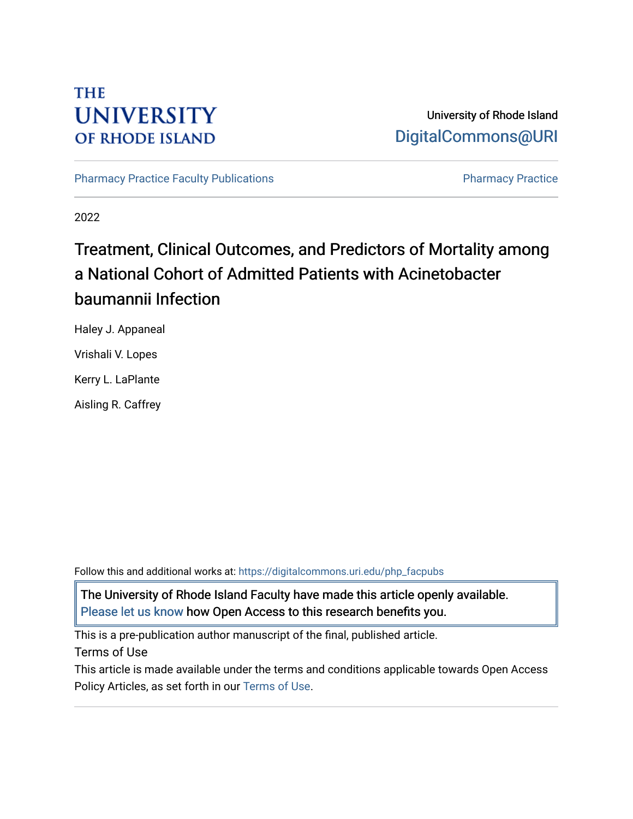## **THE UNIVERSITY OF RHODE ISLAND**

## University of Rhode Island [DigitalCommons@URI](https://digitalcommons.uri.edu/)

[Pharmacy Practice Faculty Publications](https://digitalcommons.uri.edu/php_facpubs) **Pharmacy Practice** Pharmacy Practice

2022

# Treatment, Clinical Outcomes, and Predictors of Mortality among a National Cohort of Admitted Patients with Acinetobacter baumannii Infection

Haley J. Appaneal Vrishali V. Lopes Kerry L. LaPlante Aisling R. Caffrey

Follow this and additional works at: [https://digitalcommons.uri.edu/php\\_facpubs](https://digitalcommons.uri.edu/php_facpubs?utm_source=digitalcommons.uri.edu%2Fphp_facpubs%2F1723&utm_medium=PDF&utm_campaign=PDFCoverPages) 

The University of Rhode Island Faculty have made this article openly available. [Please let us know](http://web.uri.edu/library-digital-initiatives/open-access-online-form/) how Open Access to this research benefits you.

This is a pre-publication author manuscript of the final, published article.

Terms of Use

This article is made available under the terms and conditions applicable towards Open Access Policy Articles, as set forth in our [Terms of Use](https://digitalcommons.uri.edu/php_facpubs/oa_policy_terms.html).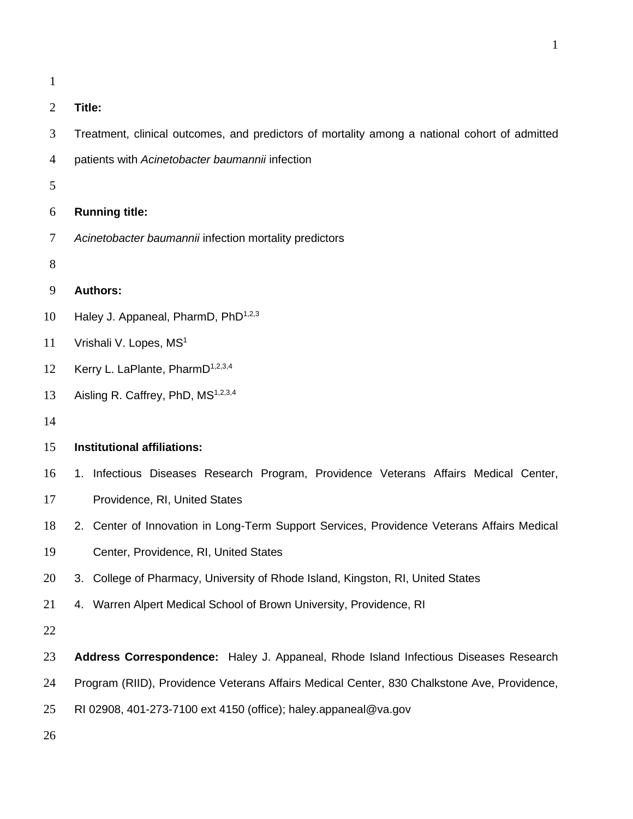**Title:**

- Treatment, clinical outcomes, and predictors of mortality among a national cohort of admitted
- patients with *Acinetobacter baumannii* infection
- 
- **Running title:**
- *Acinetobacter baumannii* infection mortality predictors
- 

## **Authors:**

- 10 Haley J. Appaneal, PharmD,  $PhD^{1,2,3}$
- 11 Vrishali V. Lopes, MS<sup>1</sup>
- 12 Kerry L. LaPlante, PharmD<sup>1,2,3,4</sup>
- 13 Aisling R. Caffrey, PhD, MS<sup>1,2,3,4</sup>
- 

## **Institutional affiliations:**

- 1. Infectious Diseases Research Program, Providence Veterans Affairs Medical Center,
- Providence, RI, United States
- 2. Center of Innovation in Long-Term Support Services, Providence Veterans Affairs Medical
- Center, Providence, RI, United States
- 3. College of Pharmacy, University of Rhode Island, Kingston, RI, United States
- 4. Warren Alpert Medical School of Brown University, Providence, RI
- 
- **Address Correspondence:** Haley J. Appaneal, Rhode Island Infectious Diseases Research
- Program (RIID), Providence Veterans Affairs Medical Center, 830 Chalkstone Ave, Providence,
- RI 02908, 401-273-7100 ext 4150 (office); haley.appaneal@va.gov
-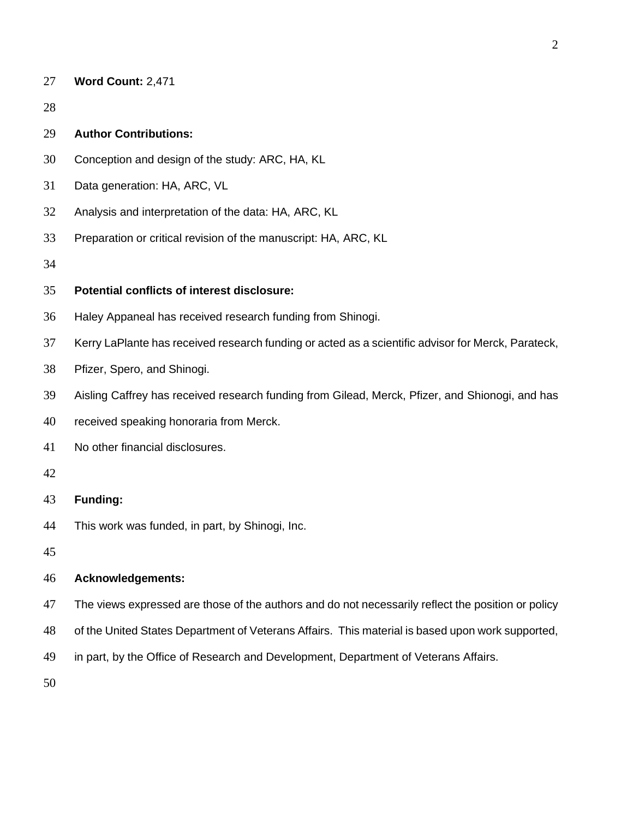| 27 |  | Word Count: 2,471 |  |
|----|--|-------------------|--|
|----|--|-------------------|--|

## **Author Contributions:**

- Conception and design of the study: ARC, HA, KL
- Data generation: HA, ARC, VL
- Analysis and interpretation of the data: HA, ARC, KL
- Preparation or critical revision of the manuscript: HA, ARC, KL

## **Potential conflicts of interest disclosure:**

- Haley Appaneal has received research funding from Shinogi.
- Kerry LaPlante has received research funding or acted as a scientific advisor for Merck, Parateck,
- Pfizer, Spero, and Shinogi.
- Aisling Caffrey has received research funding from Gilead, Merck, Pfizer, and Shionogi, and has
- received speaking honoraria from Merck.
- No other financial disclosures.
- 

### **Funding:**

This work was funded, in part, by Shinogi, Inc.

#### **Acknowledgements:**

- 47 The views expressed are those of the authors and do not necessarily reflect the position or policy
- of the United States Department of Veterans Affairs. This material is based upon work supported,
- in part, by the Office of Research and Development, Department of Veterans Affairs.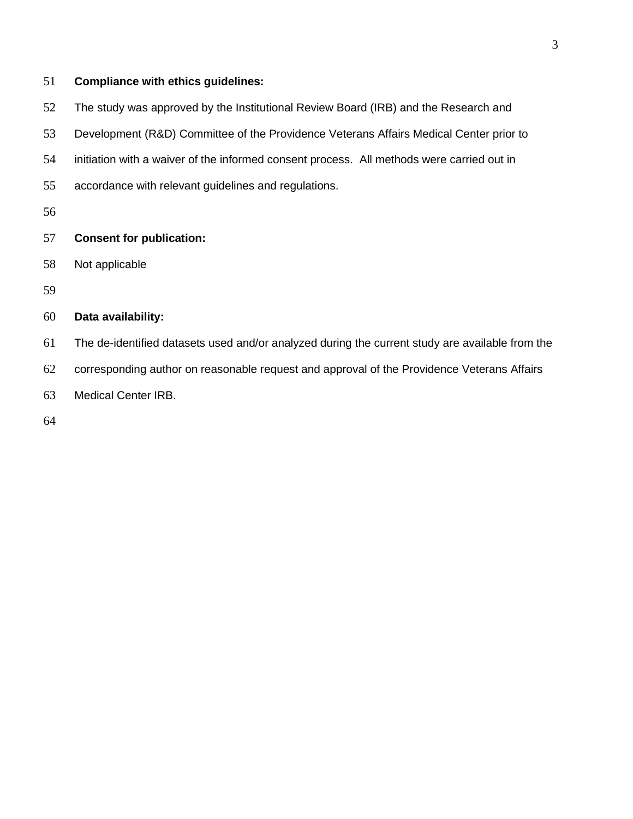## **Compliance with ethics guidelines:**

The study was approved by the Institutional Review Board (IRB) and the Research and

Development (R&D) Committee of the Providence Veterans Affairs Medical Center prior to

- initiation with a waiver of the informed consent process. All methods were carried out in
- accordance with relevant guidelines and regulations.
- 

## **Consent for publication:**

- Not applicable
- 

## **Data availability:**

- The de-identified datasets used and/or analyzed during the current study are available from the
- corresponding author on reasonable request and approval of the Providence Veterans Affairs
- Medical Center IRB.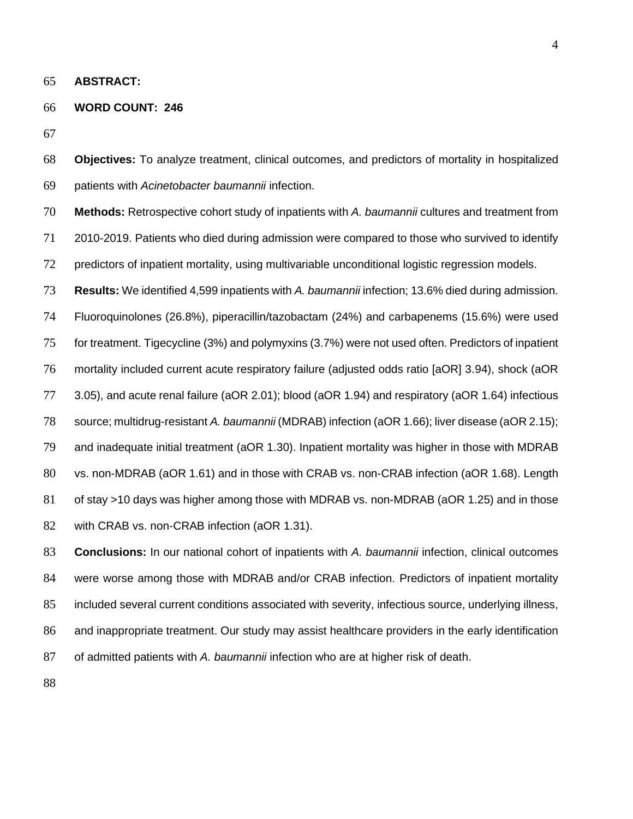**ABSTRACT:** 

#### **WORD COUNT: 246**

 **Objectives:** To analyze treatment, clinical outcomes, and predictors of mortality in hospitalized patients with *Acinetobacter baumannii* infection.

 **Methods:** Retrospective cohort study of inpatients with *A. baumannii* cultures and treatment from 2010-2019. Patients who died during admission were compared to those who survived to identify 72 predictors of inpatient mortality, using multivariable unconditional logistic regression models.

 **Results:** We identified 4,599 inpatients with *A. baumannii* infection; 13.6% died during admission. Fluoroquinolones (26.8%), piperacillin/tazobactam (24%) and carbapenems (15.6%) were used for treatment. Tigecycline (3%) and polymyxins (3.7%) were not used often. Predictors of inpatient mortality included current acute respiratory failure (adjusted odds ratio [aOR] 3.94), shock (aOR 3.05), and acute renal failure (aOR 2.01); blood (aOR 1.94) and respiratory (aOR 1.64) infectious source; multidrug-resistant *A. baumannii* (MDRAB) infection (aOR 1.66); liver disease (aOR 2.15); and inadequate initial treatment (aOR 1.30). Inpatient mortality was higher in those with MDRAB vs. non-MDRAB (aOR 1.61) and in those with CRAB vs. non-CRAB infection (aOR 1.68). Length of stay >10 days was higher among those with MDRAB vs. non-MDRAB (aOR 1.25) and in those 82 with CRAB vs. non-CRAB infection (aOR 1.31).

 **Conclusions:** In our national cohort of inpatients with *A. baumannii* infection, clinical outcomes were worse among those with MDRAB and/or CRAB infection. Predictors of inpatient mortality included several current conditions associated with severity, infectious source, underlying illness, and inappropriate treatment. Our study may assist healthcare providers in the early identification of admitted patients with *A. baumannii* infection who are at higher risk of death.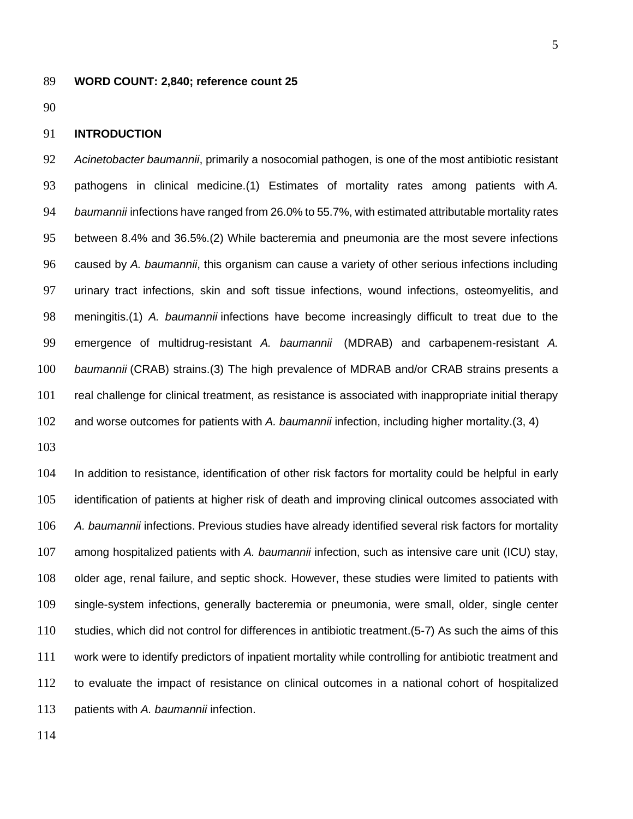#### **WORD COUNT: 2,840; reference count 25**

#### **INTRODUCTION**

 *Acinetobacter baumannii*, primarily a nosocomial pathogen, is one of the most antibiotic resistant pathogens in clinical medicine.(1) Estimates of mortality rates among patients with *A. baumannii* infections have ranged from 26.0% to 55.7%, with estimated attributable mortality rates between 8.4% and 36.5%.(2) While bacteremia and pneumonia are the most severe infections caused by *A. baumannii*, this organism can cause a variety of other serious infections including urinary tract infections, skin and soft tissue infections, wound infections, osteomyelitis, and meningitis.(1) *A. baumannii* infections have become increasingly difficult to treat due to the emergence of multidrug-resistant *A. baumannii* (MDRAB) and carbapenem-resistant *A. baumannii* (CRAB) strains.(3) The high prevalence of MDRAB and/or CRAB strains presents a real challenge for clinical treatment, as resistance is associated with inappropriate initial therapy and worse outcomes for patients with *A. baumannii* infection, including higher mortality.(3, 4)

 In addition to resistance, identification of other risk factors for mortality could be helpful in early identification of patients at higher risk of death and improving clinical outcomes associated with *A. baumannii* infections. Previous studies have already identified several risk factors for mortality among hospitalized patients with *A. baumannii* infection, such as intensive care unit (ICU) stay, older age, renal failure, and septic shock. However, these studies were limited to patients with single-system infections, generally bacteremia or pneumonia, were small, older, single center studies, which did not control for differences in antibiotic treatment.(5-7) As such the aims of this work were to identify predictors of inpatient mortality while controlling for antibiotic treatment and to evaluate the impact of resistance on clinical outcomes in a national cohort of hospitalized patients with *A. baumannii* infection.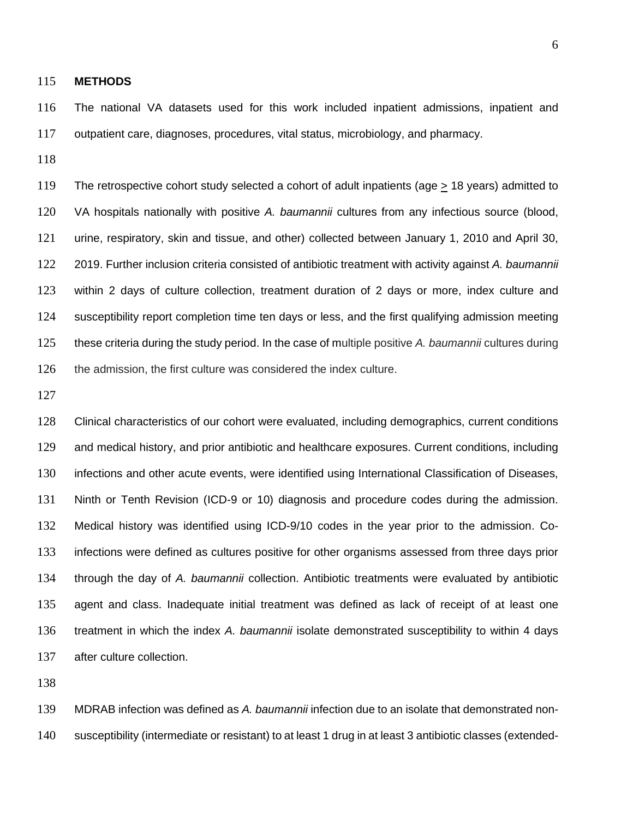#### **METHODS**

 The national VA datasets used for this work included inpatient admissions, inpatient and outpatient care, diagnoses, procedures, vital status, microbiology, and pharmacy.

119 The retrospective cohort study selected a cohort of adult inpatients (age  $\geq$  18 years) admitted to VA hospitals nationally with positive *A. baumannii* cultures from any infectious source (blood, urine, respiratory, skin and tissue, and other) collected between January 1, 2010 and April 30, 2019. Further inclusion criteria consisted of antibiotic treatment with activity against *A. baumannii* within 2 days of culture collection, treatment duration of 2 days or more, index culture and susceptibility report completion time ten days or less, and the first qualifying admission meeting these criteria during the study period. In the case of multiple positive *A. baumannii* cultures during 126 the admission, the first culture was considered the index culture.

 Clinical characteristics of our cohort were evaluated, including demographics, current conditions and medical history, and prior antibiotic and healthcare exposures. Current conditions, including infections and other acute events, were identified using International Classification of Diseases, Ninth or Tenth Revision (ICD-9 or 10) diagnosis and procedure codes during the admission. Medical history was identified using ICD-9/10 codes in the year prior to the admission. Co- infections were defined as cultures positive for other organisms assessed from three days prior through the day of *A. baumannii* collection. Antibiotic treatments were evaluated by antibiotic agent and class. Inadequate initial treatment was defined as lack of receipt of at least one treatment in which the index *A. baumannii* isolate demonstrated susceptibility to within 4 days after culture collection.

 MDRAB infection was defined as *A. baumannii* infection due to an isolate that demonstrated non-susceptibility (intermediate or resistant) to at least 1 drug in at least 3 antibiotic classes (extended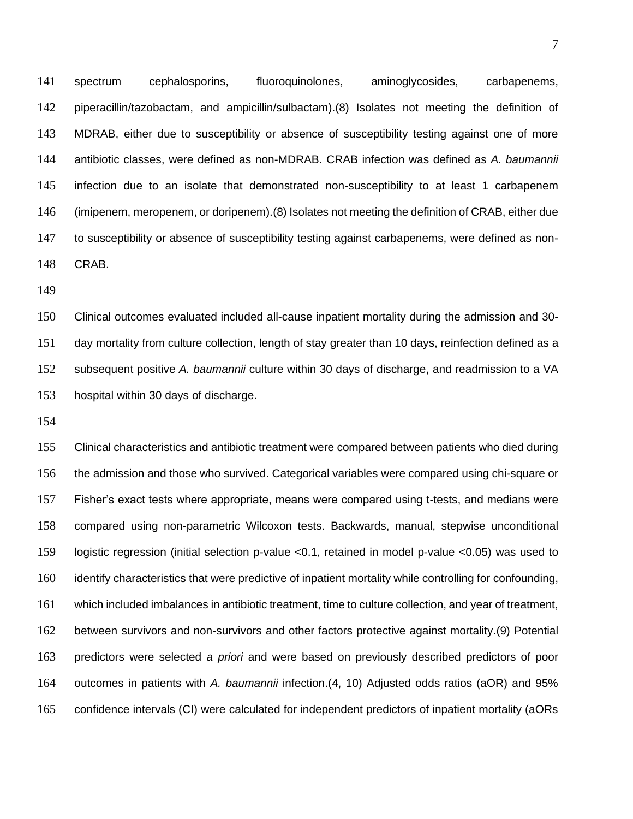spectrum cephalosporins, fluoroquinolones, aminoglycosides, carbapenems, piperacillin/tazobactam, and ampicillin/sulbactam).(8) Isolates not meeting the definition of MDRAB, either due to susceptibility or absence of susceptibility testing against one of more antibiotic classes, were defined as non-MDRAB. CRAB infection was defined as *A. baumannii*  infection due to an isolate that demonstrated non-susceptibility to at least 1 carbapenem (imipenem, meropenem, or doripenem).(8) Isolates not meeting the definition of CRAB, either due to susceptibility or absence of susceptibility testing against carbapenems, were defined as non-CRAB.

 Clinical outcomes evaluated included all-cause inpatient mortality during the admission and 30- day mortality from culture collection, length of stay greater than 10 days, reinfection defined as a subsequent positive *A. baumannii* culture within 30 days of discharge, and readmission to a VA hospital within 30 days of discharge.

 Clinical characteristics and antibiotic treatment were compared between patients who died during the admission and those who survived. Categorical variables were compared using chi-square or Fisher's exact tests where appropriate, means were compared using t-tests, and medians were compared using non-parametric Wilcoxon tests. Backwards, manual, stepwise unconditional logistic regression (initial selection p-value <0.1, retained in model p-value <0.05) was used to identify characteristics that were predictive of inpatient mortality while controlling for confounding, which included imbalances in antibiotic treatment, time to culture collection, and year of treatment, between survivors and non-survivors and other factors protective against mortality.(9) Potential predictors were selected *a priori* and were based on previously described predictors of poor outcomes in patients with *A. baumannii* infection.(4, 10) Adjusted odds ratios (aOR) and 95% confidence intervals (CI) were calculated for independent predictors of inpatient mortality (aORs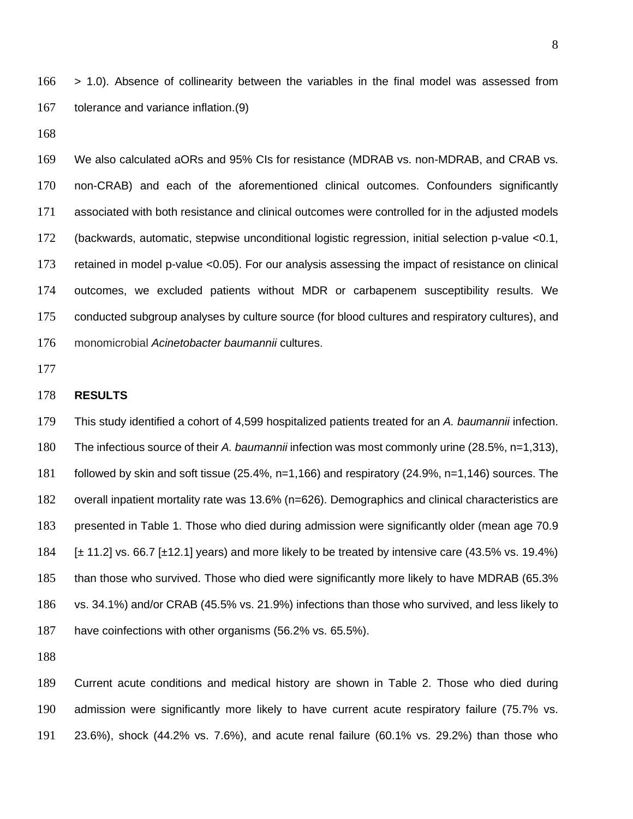> 1.0). Absence of collinearity between the variables in the final model was assessed from tolerance and variance inflation.(9)

 We also calculated aORs and 95% CIs for resistance (MDRAB vs. non-MDRAB, and CRAB vs. non-CRAB) and each of the aforementioned clinical outcomes. Confounders significantly associated with both resistance and clinical outcomes were controlled for in the adjusted models (backwards, automatic, stepwise unconditional logistic regression, initial selection p-value <0.1, retained in model p-value <0.05). For our analysis assessing the impact of resistance on clinical outcomes, we excluded patients without MDR or carbapenem susceptibility results. We conducted subgroup analyses by culture source (for blood cultures and respiratory cultures), and monomicrobial *Acinetobacter baumannii* cultures.

#### **RESULTS**

 This study identified a cohort of 4,599 hospitalized patients treated for an *A. baumannii* infection. The infectious source of their *A. baumannii* infection was most commonly urine (28.5%, n=1,313), followed by skin and soft tissue (25.4%, n=1,166) and respiratory (24.9%, n=1,146) sources. The overall inpatient mortality rate was 13.6% (n=626). Demographics and clinical characteristics are presented in Table 1. Those who died during admission were significantly older (mean age 70.9  $\pm$  11.2] vs. 66.7 [ $\pm$ 12.1] years) and more likely to be treated by intensive care (43.5% vs. 19.4%) than those who survived. Those who died were significantly more likely to have MDRAB (65.3% vs. 34.1%) and/or CRAB (45.5% vs. 21.9%) infections than those who survived, and less likely to have coinfections with other organisms (56.2% vs. 65.5%).

 Current acute conditions and medical history are shown in Table 2. Those who died during admission were significantly more likely to have current acute respiratory failure (75.7% vs. 23.6%), shock (44.2% vs. 7.6%), and acute renal failure (60.1% vs. 29.2%) than those who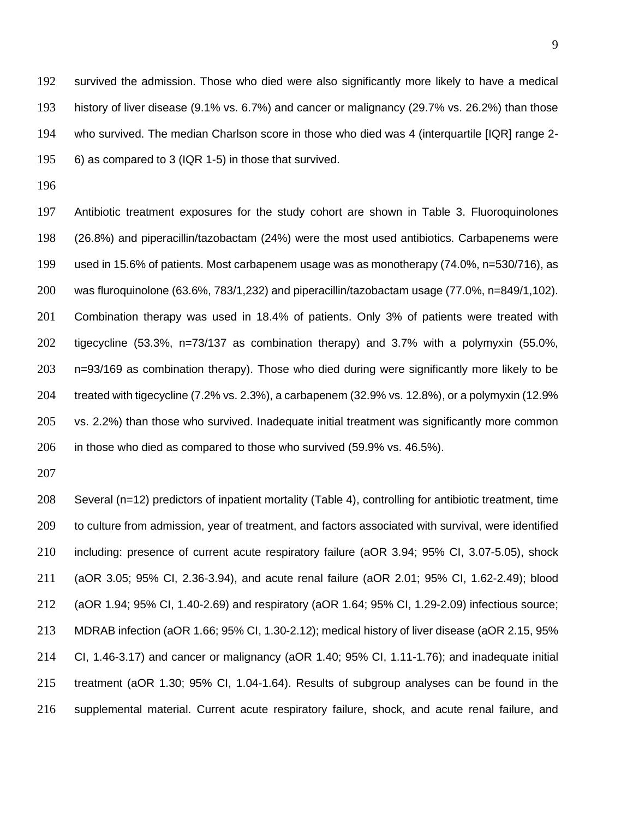survived the admission. Those who died were also significantly more likely to have a medical history of liver disease (9.1% vs. 6.7%) and cancer or malignancy (29.7% vs. 26.2%) than those who survived. The median Charlson score in those who died was 4 (interquartile [IQR] range 2- 6) as compared to 3 (IQR 1-5) in those that survived.

 Antibiotic treatment exposures for the study cohort are shown in Table 3. Fluoroquinolones (26.8%) and piperacillin/tazobactam (24%) were the most used antibiotics. Carbapenems were used in 15.6% of patients. Most carbapenem usage was as monotherapy (74.0%, n=530/716), as was fluroquinolone (63.6%, 783/1,232) and piperacillin/tazobactam usage (77.0%, n=849/1,102). Combination therapy was used in 18.4% of patients. Only 3% of patients were treated with tigecycline (53.3%, n=73/137 as combination therapy) and 3.7% with a polymyxin (55.0%, n=93/169 as combination therapy). Those who died during were significantly more likely to be treated with tigecycline (7.2% vs. 2.3%), a carbapenem (32.9% vs. 12.8%), or a polymyxin (12.9% vs. 2.2%) than those who survived. Inadequate initial treatment was significantly more common in those who died as compared to those who survived (59.9% vs. 46.5%).

 Several (n=12) predictors of inpatient mortality (Table 4), controlling for antibiotic treatment, time to culture from admission, year of treatment, and factors associated with survival, were identified including: presence of current acute respiratory failure (aOR 3.94; 95% CI, 3.07-5.05), shock (aOR 3.05; 95% CI, 2.36-3.94), and acute renal failure (aOR 2.01; 95% CI, 1.62-2.49); blood (aOR 1.94; 95% CI, 1.40-2.69) and respiratory (aOR 1.64; 95% CI, 1.29-2.09) infectious source; MDRAB infection (aOR 1.66; 95% CI, 1.30-2.12); medical history of liver disease (aOR 2.15, 95% CI, 1.46-3.17) and cancer or malignancy (aOR 1.40; 95% CI, 1.11-1.76); and inadequate initial treatment (aOR 1.30; 95% CI, 1.04-1.64). Results of subgroup analyses can be found in the supplemental material. Current acute respiratory failure, shock, and acute renal failure, and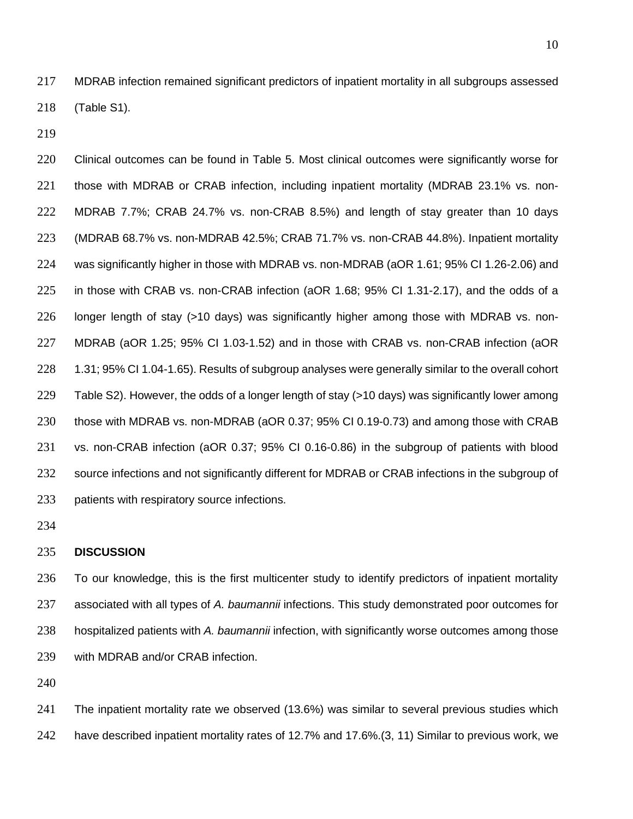MDRAB infection remained significant predictors of inpatient mortality in all subgroups assessed (Table S1).

 Clinical outcomes can be found in Table 5. Most clinical outcomes were significantly worse for those with MDRAB or CRAB infection, including inpatient mortality (MDRAB 23.1% vs. non- MDRAB 7.7%; CRAB 24.7% vs. non-CRAB 8.5%) and length of stay greater than 10 days (MDRAB 68.7% vs. non-MDRAB 42.5%; CRAB 71.7% vs. non-CRAB 44.8%). Inpatient mortality was significantly higher in those with MDRAB vs. non-MDRAB (aOR 1.61; 95% CI 1.26-2.06) and in those with CRAB vs. non-CRAB infection (aOR 1.68; 95% CI 1.31-2.17), and the odds of a longer length of stay (>10 days) was significantly higher among those with MDRAB vs. non- MDRAB (aOR 1.25; 95% CI 1.03-1.52) and in those with CRAB vs. non-CRAB infection (aOR 1.31; 95% CI 1.04-1.65). Results of subgroup analyses were generally similar to the overall cohort Table S2). However, the odds of a longer length of stay (>10 days) was significantly lower among those with MDRAB vs. non-MDRAB (aOR 0.37; 95% CI 0.19-0.73) and among those with CRAB vs. non-CRAB infection (aOR 0.37; 95% CI 0.16-0.86) in the subgroup of patients with blood source infections and not significantly different for MDRAB or CRAB infections in the subgroup of patients with respiratory source infections.

#### **DISCUSSION**

 To our knowledge, this is the first multicenter study to identify predictors of inpatient mortality associated with all types of *A. baumannii* infections. This study demonstrated poor outcomes for hospitalized patients with *A. baumannii* infection, with significantly worse outcomes among those with MDRAB and/or CRAB infection.

 The inpatient mortality rate we observed (13.6%) was similar to several previous studies which have described inpatient mortality rates of 12.7% and 17.6%.(3, 11) Similar to previous work, we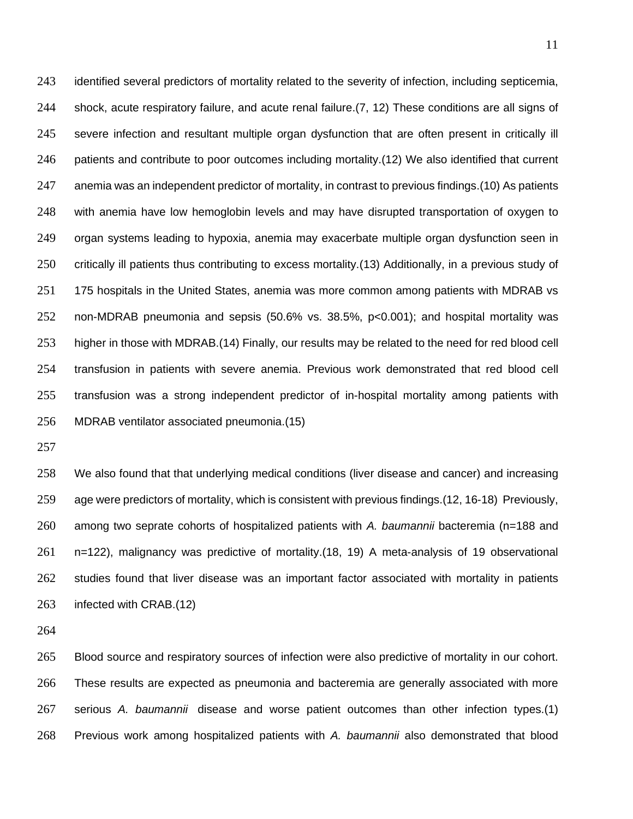identified several predictors of mortality related to the severity of infection, including septicemia, shock, acute respiratory failure, and acute renal failure.(7, 12) These conditions are all signs of severe infection and resultant multiple organ dysfunction that are often present in critically ill patients and contribute to poor outcomes including mortality.(12) We also identified that current anemia was an independent predictor of mortality, in contrast to previous findings.(10) As patients with anemia have low hemoglobin levels and may have disrupted transportation of oxygen to organ systems leading to hypoxia, anemia may exacerbate multiple organ dysfunction seen in critically ill patients thus contributing to excess mortality.(13) Additionally, in a previous study of 251 175 hospitals in the United States, anemia was more common among patients with MDRAB vs non-MDRAB pneumonia and sepsis (50.6% vs. 38.5%, p<0.001); and hospital mortality was higher in those with MDRAB.(14) Finally, our results may be related to the need for red blood cell transfusion in patients with severe anemia. Previous work demonstrated that red blood cell transfusion was a strong independent predictor of in-hospital mortality among patients with MDRAB ventilator associated pneumonia.(15)

 We also found that that underlying medical conditions (liver disease and cancer) and increasing age were predictors of mortality, which is consistent with previous findings.(12, 16-18) Previously, among two seprate cohorts of hospitalized patients with *A. baumannii* bacteremia (n=188 and n=122), malignancy was predictive of mortality.(18, 19) A meta-analysis of 19 observational studies found that liver disease was an important factor associated with mortality in patients infected with CRAB.(12)

 Blood source and respiratory sources of infection were also predictive of mortality in our cohort. These results are expected as pneumonia and bacteremia are generally associated with more serious *A. baumannii* disease and worse patient outcomes than other infection types.(1) Previous work among hospitalized patients with *A. baumannii* also demonstrated that blood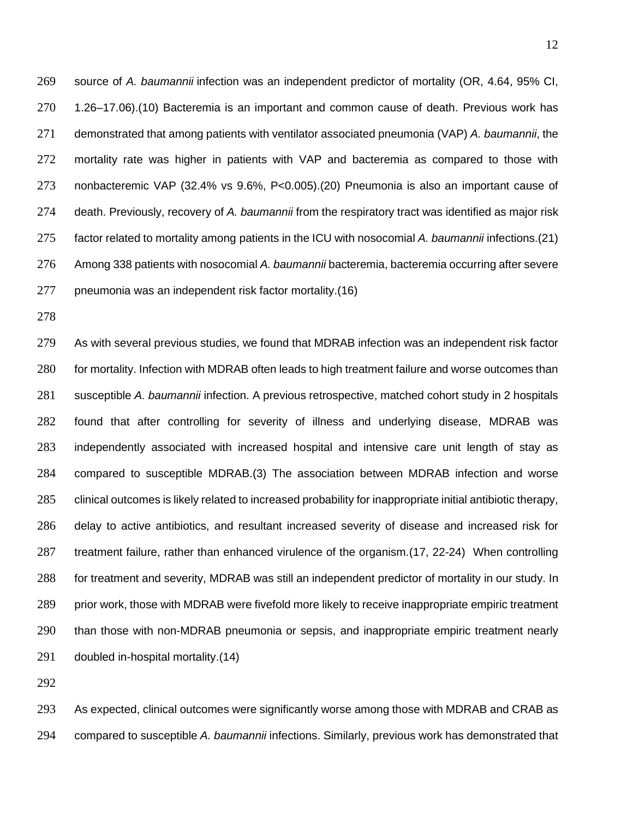source of *A. baumannii* infection was an independent predictor of mortality (OR, 4.64, 95% CI, 1.26–17.06).(10) Bacteremia is an important and common cause of death. Previous work has demonstrated that among patients with ventilator associated pneumonia (VAP) *A. baumannii*, the mortality rate was higher in patients with VAP and bacteremia as compared to those with nonbacteremic VAP (32.4% vs 9.6%, P<0.005).(20) Pneumonia is also an important cause of death. Previously, recovery of *A. baumannii* from the respiratory tract was identified as major risk factor related to mortality among patients in the ICU with nosocomial *A. baumannii* infections.(21) Among 338 patients with nosocomial *A. baumannii* bacteremia, bacteremia occurring after severe pneumonia was an independent risk factor mortality.(16)

 As with several previous studies, we found that MDRAB infection was an independent risk factor 280 for mortality. Infection with MDRAB often leads to high treatment failure and worse outcomes than susceptible *A. baumannii* infection. A previous retrospective, matched cohort study in 2 hospitals found that after controlling for severity of illness and underlying disease, MDRAB was independently associated with increased hospital and intensive care unit length of stay as compared to susceptible MDRAB.(3) The association between MDRAB infection and worse clinical outcomes is likely related to increased probability for inappropriate initial antibiotic therapy, delay to active antibiotics, and resultant increased severity of disease and increased risk for treatment failure, rather than enhanced virulence of the organism.(17, 22-24) When controlling for treatment and severity, MDRAB was still an independent predictor of mortality in our study. In prior work, those with MDRAB were fivefold more likely to receive inappropriate empiric treatment than those with non-MDRAB pneumonia or sepsis, and inappropriate empiric treatment nearly doubled in-hospital mortality.(14)

 As expected, clinical outcomes were significantly worse among those with MDRAB and CRAB as compared to susceptible *A. baumannii* infections. Similarly, previous work has demonstrated that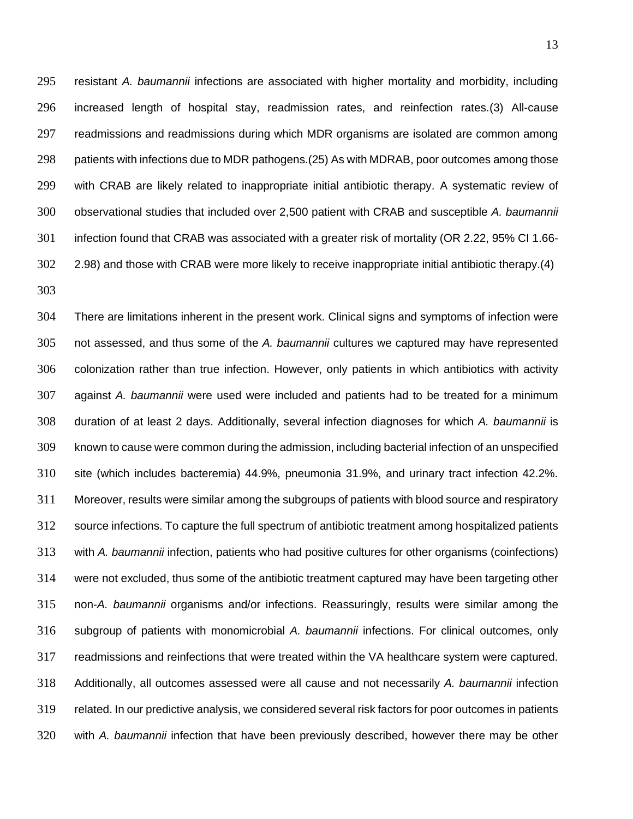resistant *A. baumannii* infections are associated with higher mortality and morbidity, including increased length of hospital stay, readmission rates, and reinfection rates.(3) All-cause readmissions and readmissions during which MDR organisms are isolated are common among patients with infections due to MDR pathogens.(25) As with MDRAB, poor outcomes among those with CRAB are likely related to inappropriate initial antibiotic therapy. A systematic review of observational studies that included over 2,500 patient with CRAB and susceptible *A. baumannii*  infection found that CRAB was associated with a greater risk of mortality (OR 2.22, 95% CI 1.66- 2.98) and those with CRAB were more likely to receive inappropriate initial antibiotic therapy.(4) 

 There are limitations inherent in the present work. Clinical signs and symptoms of infection were not assessed, and thus some of the *A. baumannii* cultures we captured may have represented colonization rather than true infection. However, only patients in which antibiotics with activity against *A. baumannii* were used were included and patients had to be treated for a minimum duration of at least 2 days. Additionally, several infection diagnoses for which *A. baumannii* is known to cause were common during the admission, including bacterial infection of an unspecified site (which includes bacteremia) 44.9%, pneumonia 31.9%, and urinary tract infection 42.2%. Moreover, results were similar among the subgroups of patients with blood source and respiratory source infections. To capture the full spectrum of antibiotic treatment among hospitalized patients with *A. baumannii* infection, patients who had positive cultures for other organisms (coinfections) were not excluded, thus some of the antibiotic treatment captured may have been targeting other non-*A. baumannii* organisms and/or infections. Reassuringly, results were similar among the subgroup of patients with monomicrobial *A. baumannii* infections. For clinical outcomes, only readmissions and reinfections that were treated within the VA healthcare system were captured. Additionally, all outcomes assessed were all cause and not necessarily *A. baumannii* infection related. In our predictive analysis, we considered several risk factors for poor outcomes in patients with *A. baumannii* infection that have been previously described, however there may be other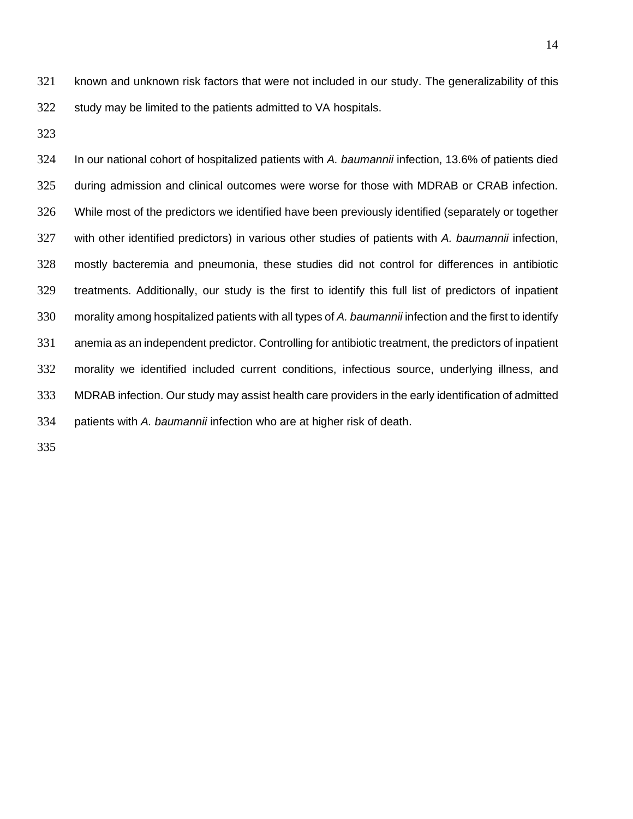known and unknown risk factors that were not included in our study. The generalizability of this study may be limited to the patients admitted to VA hospitals.

 In our national cohort of hospitalized patients with *A. baumannii* infection, 13.6% of patients died during admission and clinical outcomes were worse for those with MDRAB or CRAB infection. While most of the predictors we identified have been previously identified (separately or together with other identified predictors) in various other studies of patients with *A. baumannii* infection, mostly bacteremia and pneumonia, these studies did not control for differences in antibiotic treatments. Additionally, our study is the first to identify this full list of predictors of inpatient morality among hospitalized patients with all types of *A. baumannii* infection and the first to identify anemia as an independent predictor. Controlling for antibiotic treatment, the predictors of inpatient morality we identified included current conditions, infectious source, underlying illness, and MDRAB infection. Our study may assist health care providers in the early identification of admitted patients with *A. baumannii* infection who are at higher risk of death.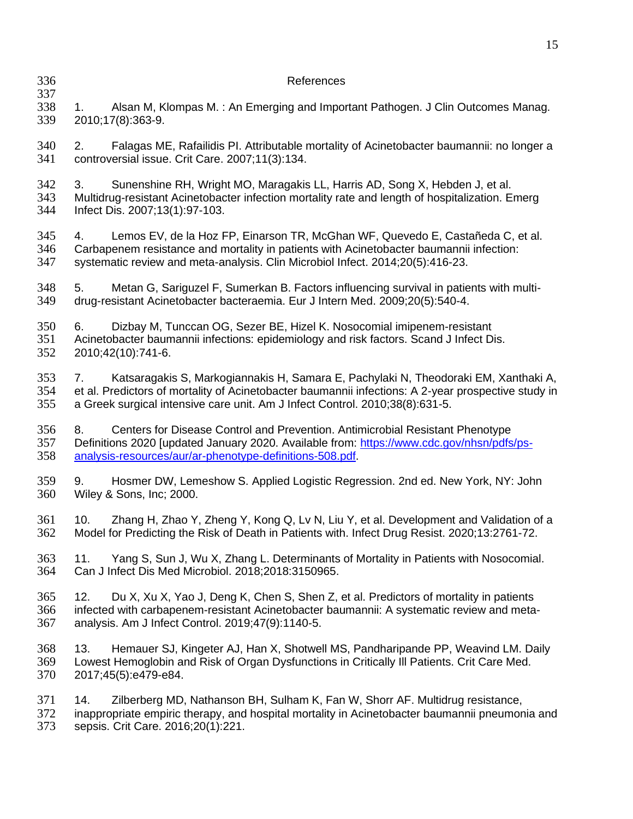References 1. Alsan M, Klompas M. : An Emerging and Important Pathogen. J Clin Outcomes Manag. 2010;17(8):363-9. 2. Falagas ME, Rafailidis PI. Attributable mortality of Acinetobacter baumannii: no longer a controversial issue. Crit Care. 2007;11(3):134. 3. Sunenshine RH, Wright MO, Maragakis LL, Harris AD, Song X, Hebden J, et al. Multidrug-resistant Acinetobacter infection mortality rate and length of hospitalization. Emerg Infect Dis. 2007;13(1):97-103. 4. Lemos EV, de la Hoz FP, Einarson TR, McGhan WF, Quevedo E, Castañeda C, et al. 346 Carbapenem resistance and mortality in patients with Acinetobacter baumannii infection:<br>347 systematic review and meta-analysis. Clin Microbiol Infect. 2014:20(5):416-23. systematic review and meta-analysis. Clin Microbiol Infect. 2014;20(5):416-23. 5. Metan G, Sariguzel F, Sumerkan B. Factors influencing survival in patients with multi- drug-resistant Acinetobacter bacteraemia. Eur J Intern Med. 2009;20(5):540-4. 6. Dizbay M, Tunccan OG, Sezer BE, Hizel K. Nosocomial imipenem-resistant Acinetobacter baumannii infections: epidemiology and risk factors. Scand J Infect Dis. 2010;42(10):741-6. 7. Katsaragakis S, Markogiannakis H, Samara E, Pachylaki N, Theodoraki EM, Xanthaki A, 354 et al. Predictors of mortality of Acinetobacter baumannii infections: A 2-year prospective study in 355 a Greek surgical intensive care unit. Am J Infect Control. 2010:38(8):631-5. a Greek surgical intensive care unit. Am J Infect Control. 2010;38(8):631-5. 8. Centers for Disease Control and Prevention. Antimicrobial Resistant Phenotype Definitions 2020 [updated January 2020. Available from: [https://www.cdc.gov/nhsn/pdfs/ps-](https://www.cdc.gov/nhsn/pdfs/ps-analysis-resources/aur/ar-phenotype-definitions-508.pdf) [analysis-resources/aur/ar-phenotype-definitions-508.pdf.](https://www.cdc.gov/nhsn/pdfs/ps-analysis-resources/aur/ar-phenotype-definitions-508.pdf) 9. Hosmer DW, Lemeshow S. Applied Logistic Regression. 2nd ed. New York, NY: John Wiley & Sons, Inc; 2000. 10. Zhang H, Zhao Y, Zheng Y, Kong Q, Lv N, Liu Y, et al. Development and Validation of a Model for Predicting the Risk of Death in Patients with. Infect Drug Resist. 2020;13:2761-72. 11. Yang S, Sun J, Wu X, Zhang L. Determinants of Mortality in Patients with Nosocomial. Can J Infect Dis Med Microbiol. 2018;2018:3150965. 12. Du X, Xu X, Yao J, Deng K, Chen S, Shen Z, et al. Predictors of mortality in patients infected with carbapenem-resistant Acinetobacter baumannii: A systematic review and meta- analysis. Am J Infect Control. 2019;47(9):1140-5. 13. Hemauer SJ, Kingeter AJ, Han X, Shotwell MS, Pandharipande PP, Weavind LM. Daily Lowest Hemoglobin and Risk of Organ Dysfunctions in Critically Ill Patients. Crit Care Med. 2017;45(5):e479-e84. 14. Zilberberg MD, Nathanson BH, Sulham K, Fan W, Shorr AF. Multidrug resistance, inappropriate empiric therapy, and hospital mortality in Acinetobacter baumannii pneumonia and sepsis. Crit Care. 2016;20(1):221.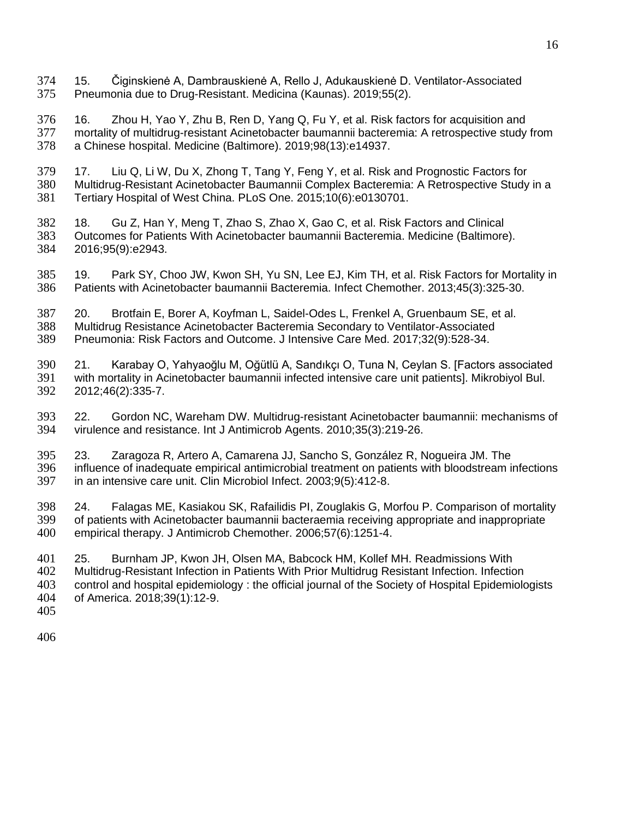- 15. Čiginskienė A, Dambrauskienė A, Rello J, Adukauskienė D. Ventilator-Associated Pneumonia due to Drug-Resistant. Medicina (Kaunas). 2019;55(2).
- 16. Zhou H, Yao Y, Zhu B, Ren D, Yang Q, Fu Y, et al. Risk factors for acquisition and mortality of multidrug-resistant Acinetobacter baumannii bacteremia: A retrospective study from a Chinese hospital. Medicine (Baltimore). 2019;98(13):e14937.
- 379 17. Liu Q, Li W, Du X, Zhong T, Tang Y, Feng Y, et al. Risk and Prognostic Factors for<br>380 Multidrug-Resistant Acinetobacter Baumannii Complex Bacteremia: A Retrospective Study Multidrug-Resistant Acinetobacter Baumannii Complex Bacteremia: A Retrospective Study in a Tertiary Hospital of West China. PLoS One. 2015;10(6):e0130701.
- 18. Gu Z, Han Y, Meng T, Zhao S, Zhao X, Gao C, et al. Risk Factors and Clinical Outcomes for Patients With Acinetobacter baumannii Bacteremia. Medicine (Baltimore). 2016;95(9):e2943.
- 19. Park SY, Choo JW, Kwon SH, Yu SN, Lee EJ, Kim TH, et al. Risk Factors for Mortality in Patients with Acinetobacter baumannii Bacteremia. Infect Chemother. 2013;45(3):325-30.
- 387 20. Brotfain E, Borer A, Koyfman L, Saidel-Odes L, Frenkel A, Gruenbaum SE, et al.<br>388 Multidrug Resistance Acinetobacter Bacteremia Secondary to Ventilator-Associated Multidrug Resistance Acinetobacter Bacteremia Secondary to Ventilator-Associated Pneumonia: Risk Factors and Outcome. J Intensive Care Med. 2017;32(9):528-34.
- 21. Karabay O, Yahyaoğlu M, Oğütlü A, Sandıkçı O, Tuna N, Ceylan S. [Factors associated with mortality in Acinetobacter baumannii infected intensive care unit patients]. Mikrobiyol Bul. 2012;46(2):335-7.
- 22. Gordon NC, Wareham DW. Multidrug-resistant Acinetobacter baumannii: mechanisms of virulence and resistance. Int J Antimicrob Agents. 2010;35(3):219-26.
- 395 23. Zaragoza R, Artero A, Camarena JJ, Sancho S, González R, Nogueira JM. The<br>396 influence of inadequate empirical antimicrobial treatment on patients with bloodstream in influence of inadequate empirical antimicrobial treatment on patients with bloodstream infections in an intensive care unit. Clin Microbiol Infect. 2003;9(5):412-8.
- 398 24. Falagas ME, Kasiakou SK, Rafailidis PI, Zouglakis G, Morfou P. Comparison of mortality<br>399 of patients with Acinetobacter baumannii bacteraemia receiving appropriate and inappropriate of patients with Acinetobacter baumannii bacteraemia receiving appropriate and inappropriate empirical therapy. J Antimicrob Chemother. 2006;57(6):1251-4.
- 25. Burnham JP, Kwon JH, Olsen MA, Babcock HM, Kollef MH. Readmissions With Multidrug-Resistant Infection in Patients With Prior Multidrug Resistant Infection. Infection control and hospital epidemiology : the official journal of the Society of Hospital Epidemiologists of America. 2018;39(1):12-9.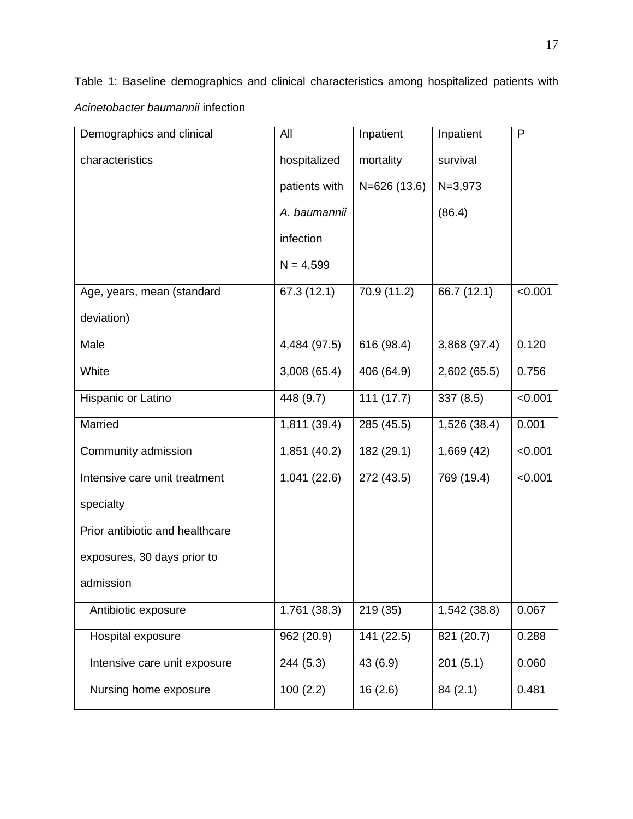Table 1: Baseline demographics and clinical characteristics among hospitalized patients with *Acinetobacter baumannii* infection

| Demographics and clinical       | All           | Inpatient    | Inpatient    | P       |
|---------------------------------|---------------|--------------|--------------|---------|
| characteristics                 | hospitalized  | mortality    | survival     |         |
|                                 | patients with | N=626 (13.6) | $N = 3,973$  |         |
|                                 | A. baumannii  |              | (86.4)       |         |
|                                 | infection     |              |              |         |
|                                 | $N = 4,599$   |              |              |         |
| Age, years, mean (standard      | 67.3 (12.1)   | 70.9 (11.2)  | 66.7 (12.1)  | < 0.001 |
| deviation)                      |               |              |              |         |
| Male                            | 4,484 (97.5)  | 616 (98.4)   | 3,868 (97.4) | 0.120   |
| White                           | 3,008(65.4)   | 406 (64.9)   | 2,602 (65.5) | 0.756   |
| Hispanic or Latino              | 448 (9.7)     | 111(17.7)    | 337(8.5)     | < 0.001 |
| Married                         | 1,811 (39.4)  | 285 (45.5)   | 1,526 (38.4) | 0.001   |
| Community admission             | 1,851 (40.2)  | 182 (29.1)   | 1,669(42)    | < 0.001 |
| Intensive care unit treatment   | 1,041(22.6)   | 272 (43.5)   | 769 (19.4)   | < 0.001 |
| specialty                       |               |              |              |         |
| Prior antibiotic and healthcare |               |              |              |         |
| exposures, 30 days prior to     |               |              |              |         |
| admission                       |               |              |              |         |
| Antibiotic exposure             | 1,761 (38.3)  | 219 (35)     | 1,542 (38.8) | 0.067   |
| Hospital exposure               | 962 (20.9)    | 141 (22.5)   | 821 (20.7)   | 0.288   |
| Intensive care unit exposure    | 244(5.3)      | 43 (6.9)     | 201(5.1)     | 0.060   |
| Nursing home exposure           | 100(2.2)      | 16(2.6)      | 84(2.1)      | 0.481   |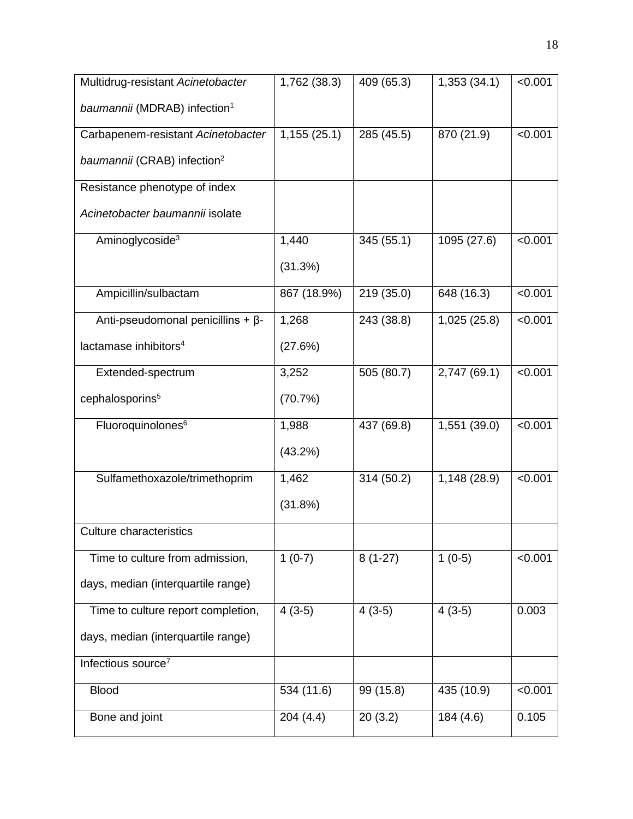| Multidrug-resistant Acinetobacter        | 1,762 (38.3) | 409 (65.3) | 1,353 (34.1) | < 0.001 |
|------------------------------------------|--------------|------------|--------------|---------|
| baumannii (MDRAB) infection <sup>1</sup> |              |            |              |         |
| Carbapenem-resistant Acinetobacter       | 1,155(25.1)  | 285 (45.5) | 870 (21.9)   | < 0.001 |
| baumannii (CRAB) infection <sup>2</sup>  |              |            |              |         |
| Resistance phenotype of index            |              |            |              |         |
| Acinetobacter baumannii isolate          |              |            |              |         |
| Aminoglycoside <sup>3</sup>              | 1,440        | 345 (55.1) | 1095 (27.6)  | < 0.001 |
|                                          | (31.3%)      |            |              |         |
| Ampicillin/sulbactam                     | 867 (18.9%)  | 219 (35.0) | 648 (16.3)   | < 0.001 |
| Anti-pseudomonal penicillins + $\beta$ - | 1,268        | 243 (38.8) | 1,025 (25.8) | < 0.001 |
| lactamase inhibitors <sup>4</sup>        | (27.6%)      |            |              |         |
| Extended-spectrum                        | 3,252        | 505 (80.7) | 2,747 (69.1) | < 0.001 |
| cephalosporins <sup>5</sup>              | (70.7%)      |            |              |         |
| Fluoroquinolones <sup>6</sup>            | 1,988        | 437 (69.8) | 1,551 (39.0) | < 0.001 |
|                                          | $(43.2\%)$   |            |              |         |
| Sulfamethoxazole/trimethoprim            | 1,462        | 314 (50.2) | 1,148 (28.9) | < 0.001 |
|                                          | (31.8%)      |            |              |         |
| <b>Culture characteristics</b>           |              |            |              |         |
| Time to culture from admission,          | $1(0-7)$     | $8(1-27)$  | $1(0-5)$     | < 0.001 |
| days, median (interquartile range)       |              |            |              |         |
| Time to culture report completion,       | $4(3-5)$     | $4(3-5)$   | $4(3-5)$     | 0.003   |
| days, median (interquartile range)       |              |            |              |         |
| Infectious source <sup>7</sup>           |              |            |              |         |
| <b>Blood</b>                             | 534 (11.6)   | 99 (15.8)  | 435 (10.9)   | < 0.001 |
| Bone and joint                           | 204(4.4)     | 20(3.2)    | 184 (4.6)    | 0.105   |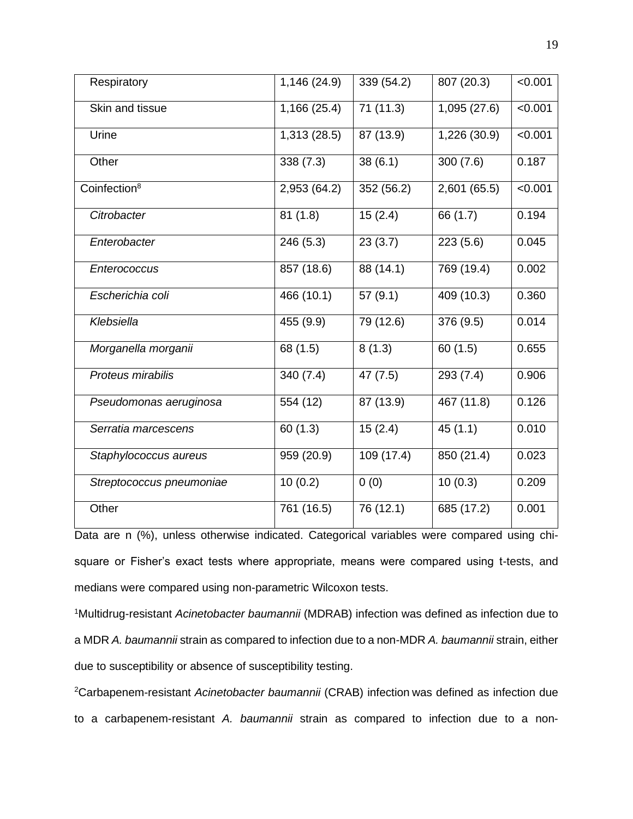| Respiratory              | 1,146 (24.9) | 339 (54.2)  | 807 (20.3)   | < 0.001 |
|--------------------------|--------------|-------------|--------------|---------|
| Skin and tissue          | 1,166 (25.4) | 71(11.3)    | 1,095 (27.6) | < 0.001 |
| Urine                    | 1,313 (28.5) | 87 (13.9)   | 1,226 (30.9) | < 0.001 |
| Other                    | 338 (7.3)    | 38(6.1)     | 300(7.6)     | 0.187   |
| Coinfection <sup>8</sup> | 2,953 (64.2) | 352 (56.2)  | 2,601 (65.5) | < 0.001 |
| Citrobacter              | 81(1.8)      | 15(2.4)     | 66 (1.7)     | 0.194   |
| Enterobacter             | 246 (5.3)    | 23(3.7)     | 223 (5.6)    | 0.045   |
| Enterococcus             | 857 (18.6)   | 88 $(14.1)$ | 769 (19.4)   | 0.002   |
| Escherichia coli         | 466 (10.1)   | 57(9.1)     | 409 (10.3)   | 0.360   |
| Klebsiella               | 455 (9.9)    | 79 (12.6)   | 376 (9.5)    | 0.014   |
| Morganella morganii      | 68 (1.5)     | 8(1.3)      | 60(1.5)      | 0.655   |
| Proteus mirabilis        | 340(7.4)     | 47 (7.5)    | 293 (7.4)    | 0.906   |
| Pseudomonas aeruginosa   | 554 (12)     | 87 (13.9)   | 467 (11.8)   | 0.126   |
| Serratia marcescens      | 60(1.3)      | 15(2.4)     | 45(1.1)      | 0.010   |
| Staphylococcus aureus    | 959 (20.9)   | 109 (17.4)  | 850 (21.4)   | 0.023   |
| Streptococcus pneumoniae | 10(0.2)      | 0(0)        | 10(0.3)      | 0.209   |
| Other                    | 761 (16.5)   | 76 (12.1)   | 685 (17.2)   | 0.001   |
|                          |              |             |              |         |

Data are n (%), unless otherwise indicated. Categorical variables were compared using chisquare or Fisher's exact tests where appropriate, means were compared using t-tests, and medians were compared using non-parametric Wilcoxon tests.

<sup>1</sup>Multidrug-resistant *Acinetobacter baumannii* (MDRAB) infection was defined as infection due to a MDR *A. baumannii* strain as compared to infection due to a non-MDR *A. baumannii* strain, either due to susceptibility or absence of susceptibility testing.

<sup>2</sup>Carbapenem-resistant *Acinetobacter baumannii* (CRAB) infection was defined as infection due to a carbapenem-resistant *A. baumannii* strain as compared to infection due to a non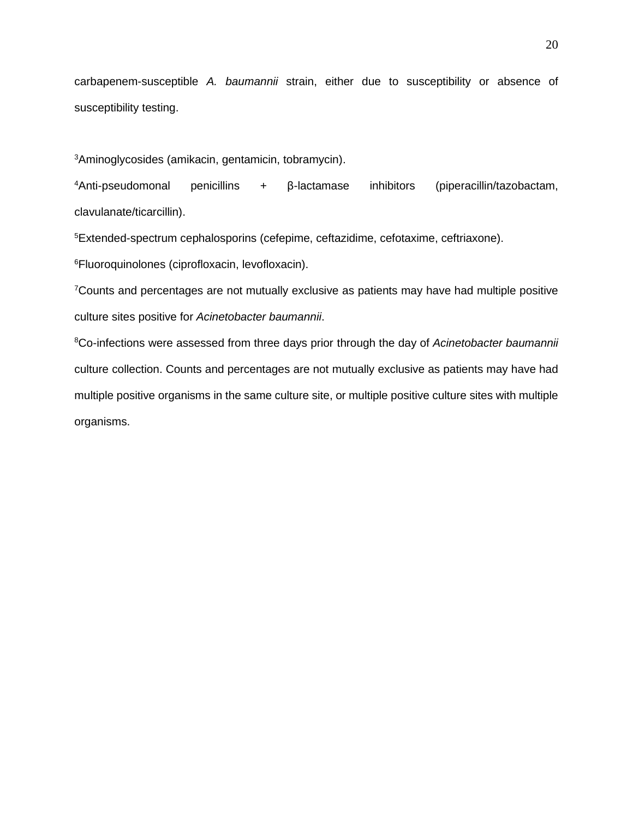carbapenem-susceptible *A. baumannii* strain, either due to susceptibility or absence of susceptibility testing.

<sup>3</sup>Aminoglycosides (amikacin, gentamicin, tobramycin).

 $4$ Anti-pseudomonal penicillins + β-lactamase inhibitors (piperacillin/tazobactam, clavulanate/ticarcillin).

<sup>5</sup>Extended-spectrum cephalosporins (cefepime, ceftazidime, cefotaxime, ceftriaxone).

<sup>6</sup>Fluoroquinolones (ciprofloxacin, levofloxacin).

<sup>7</sup>Counts and percentages are not mutually exclusive as patients may have had multiple positive culture sites positive for *Acinetobacter baumannii*.

<sup>8</sup>Co-infections were assessed from three days prior through the day of *Acinetobacter baumannii* culture collection. Counts and percentages are not mutually exclusive as patients may have had multiple positive organisms in the same culture site, or multiple positive culture sites with multiple organisms.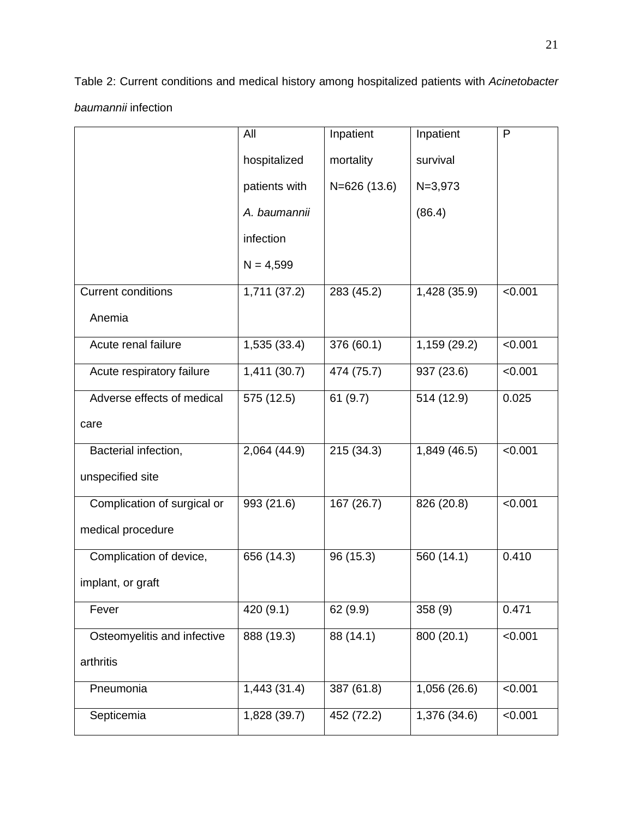Table 2: Current conditions and medical history among hospitalized patients with *Acinetobacter baumannii* infection

|                             | All           | Inpatient     | Inpatient    | $\mathsf{P}$ |
|-----------------------------|---------------|---------------|--------------|--------------|
|                             | hospitalized  | mortality     | survival     |              |
|                             | patients with | $N=626(13.6)$ | $N = 3,973$  |              |
|                             | A. baumannii  |               | (86.4)       |              |
|                             | infection     |               |              |              |
|                             | $N = 4,599$   |               |              |              |
| <b>Current conditions</b>   | 1,711(37.2)   | 283 (45.2)    | 1,428 (35.9) | < 0.001      |
| Anemia                      |               |               |              |              |
| Acute renal failure         | 1,535 (33.4)  | 376 (60.1)    | 1,159 (29.2) | < 0.001      |
| Acute respiratory failure   | 1,411(30.7)   | 474 (75.7)    | 937 (23.6)   | < 0.001      |
| Adverse effects of medical  | 575 (12.5)    | 61(9.7)       | 514 (12.9)   | 0.025        |
| care                        |               |               |              |              |
| Bacterial infection,        | 2,064 (44.9)  | 215(34.3)     | 1,849 (46.5) | < 0.001      |
| unspecified site            |               |               |              |              |
| Complication of surgical or | 993 (21.6)    | 167 (26.7)    | 826 (20.8)   | < 0.001      |
| medical procedure           |               |               |              |              |
| Complication of device,     | 656 (14.3)    | 96 (15.3)     | 560 (14.1)   | 0.410        |
| implant, or graft           |               |               |              |              |
| Fever                       | 420(9.1)      | 62 (9.9)      | 358 (9)      | 0.471        |
| Osteomyelitis and infective | 888 (19.3)    | 88 (14.1)     | 800(20.1)    | < 0.001      |
| arthritis                   |               |               |              |              |
| Pneumonia                   | 1,443(31.4)   | 387 (61.8)    | 1,056 (26.6) | < 0.001      |
| Septicemia                  | 1,828 (39.7)  | 452 (72.2)    | 1,376 (34.6) | < 0.001      |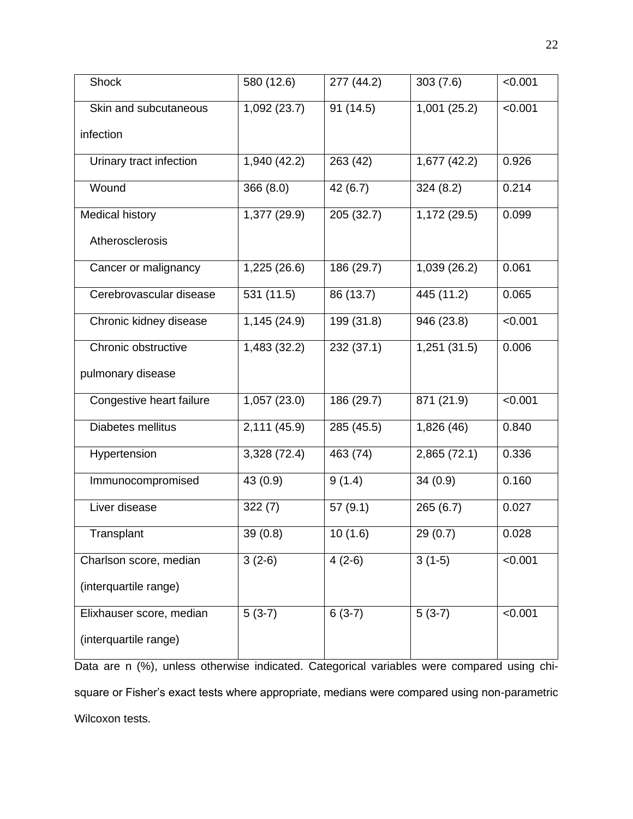| Shock                    | 580 (12.6)   | 277 (44.2) | 303(7.6)     | < 0.001 |
|--------------------------|--------------|------------|--------------|---------|
| Skin and subcutaneous    | 1,092 (23.7) | 91 (14.5)  | 1,001(25.2)  | < 0.001 |
| infection                |              |            |              |         |
| Urinary tract infection  | 1,940 (42.2) | 263 (42)   | 1,677(42.2)  | 0.926   |
| Wound                    | 366 (8.0)    | 42 (6.7)   | 324(8.2)     | 0.214   |
| <b>Medical history</b>   | 1,377 (29.9) | 205 (32.7) | 1,172 (29.5) | 0.099   |
| Atherosclerosis          |              |            |              |         |
| Cancer or malignancy     | 1,225 (26.6) | 186 (29.7) | 1,039 (26.2) | 0.061   |
| Cerebrovascular disease  | 531 (11.5)   | 86 (13.7)  | 445 (11.2)   | 0.065   |
| Chronic kidney disease   | 1,145 (24.9) | 199 (31.8) | 946 (23.8)   | < 0.001 |
| Chronic obstructive      | 1,483 (32.2) | 232 (37.1) | 1,251(31.5)  | 0.006   |
| pulmonary disease        |              |            |              |         |
| Congestive heart failure | 1,057 (23.0) | 186 (29.7) | 871 (21.9)   | < 0.001 |
| Diabetes mellitus        | 2,111 (45.9) | 285 (45.5) | 1,826 (46)   | 0.840   |
| Hypertension             | 3,328 (72.4) | 463 (74)   | 2,865 (72.1) | 0.336   |
| Immunocompromised        | 43 (0.9)     | 9(1.4)     | 34(0.9)      | 0.160   |
| Liver disease            | 322(7)       | 57(9.1)    | 265(6.7)     | 0.027   |
| Transplant               | 39(0.8)      | 10(1.6)    | 29(0.7)      | 0.028   |
| Charlson score, median   | $3(2-6)$     | $4(2-6)$   | $3(1-5)$     | < 0.001 |
| (interquartile range)    |              |            |              |         |
| Elixhauser score, median | $5(3-7)$     | $6(3-7)$   | $5(3-7)$     | < 0.001 |
| (interquartile range)    |              |            |              |         |

Data are n (%), unless otherwise indicated. Categorical variables were compared using chisquare or Fisher's exact tests where appropriate, medians were compared using non-parametric Wilcoxon tests.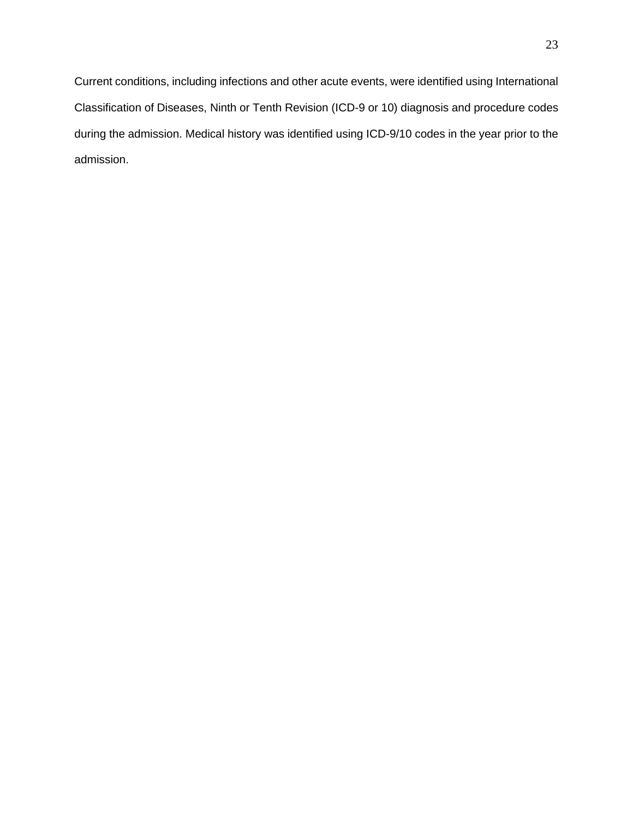Current conditions, including infections and other acute events, were identified using International Classification of Diseases, Ninth or Tenth Revision (ICD-9 or 10) diagnosis and procedure codes during the admission. Medical history was identified using ICD-9/10 codes in the year prior to the admission.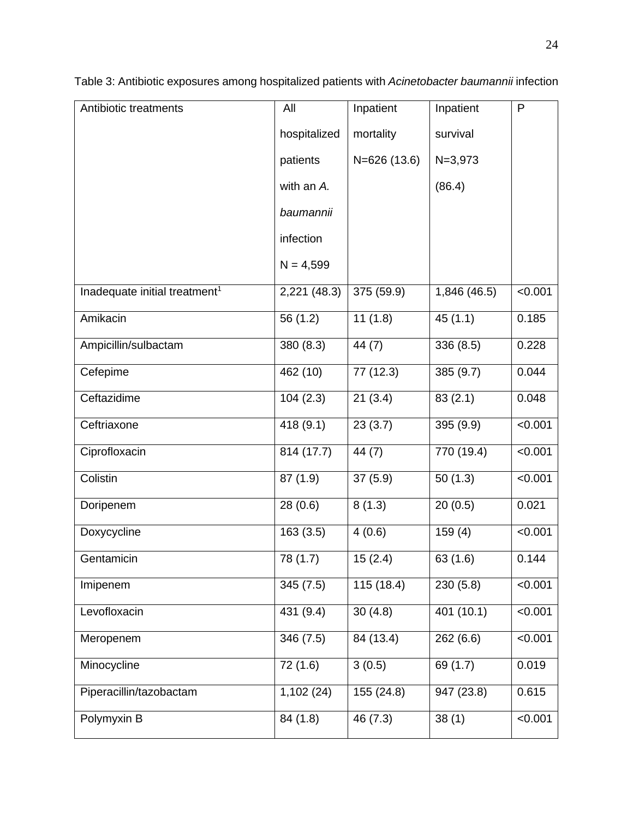| Antibiotic treatments                     | All          | Inpatient     | Inpatient   | P       |
|-------------------------------------------|--------------|---------------|-------------|---------|
|                                           | hospitalized | mortality     | survival    |         |
|                                           | patients     | $N=626(13.6)$ | $N = 3,973$ |         |
|                                           | with an A.   |               | (86.4)      |         |
|                                           | baumannii    |               |             |         |
|                                           | infection    |               |             |         |
|                                           | $N = 4,599$  |               |             |         |
| Inadequate initial treatment <sup>1</sup> | 2,221 (48.3) | 375 (59.9)    | 1,846(46.5) | < 0.001 |
| Amikacin                                  | 56 (1.2)     | 11(1.8)       | 45(1.1)     | 0.185   |
| Ampicillin/sulbactam                      | 380 (8.3)    | 44(7)         | 336 (8.5)   | 0.228   |
| Cefepime                                  | 462 (10)     | 77 (12.3)     | 385 (9.7)   | 0.044   |
| Ceftazidime                               | 104(2.3)     | 21(3.4)       | 83(2.1)     | 0.048   |
| Ceftriaxone                               | 418 (9.1)    | 23(3.7)       | 395 (9.9)   | < 0.001 |
| Ciprofloxacin                             | 814 (17.7)   | 44 (7)        | 770 (19.4)  | < 0.001 |
| Colistin                                  | 87 (1.9)     | 37(5.9)       | 50(1.3)     | < 0.001 |
| Doripenem                                 | 28(0.6)      | 8(1.3)        | 20(0.5)     | 0.021   |
| Doxycycline                               | 163(3.5)     | 4(0.6)        | 159(4)      | < 0.001 |
| Gentamicin                                | 78(1.7)      | 15(2.4)       | 63 (1.6)    | 0.144   |
| Imipenem                                  | 345(7.5)     | 115(18.4)     | 230(5.8)    | < 0.001 |
| Levofloxacin                              | 431 (9.4)    | 30(4.8)       | 401 (10.1)  | < 0.001 |
| Meropenem                                 | 346 (7.5)    | 84 (13.4)     | 262(6.6)    | < 0.001 |
| Minocycline                               | 72 (1.6)     | 3(0.5)        | 69 (1.7)    | 0.019   |
| Piperacillin/tazobactam                   | 1,102(24)    | 155 (24.8)    | 947 (23.8)  | 0.615   |
| Polymyxin B                               | 84 (1.8)     | 46 (7.3)      | 38(1)       | < 0.001 |

Table 3: Antibiotic exposures among hospitalized patients with *Acinetobacter baumannii* infection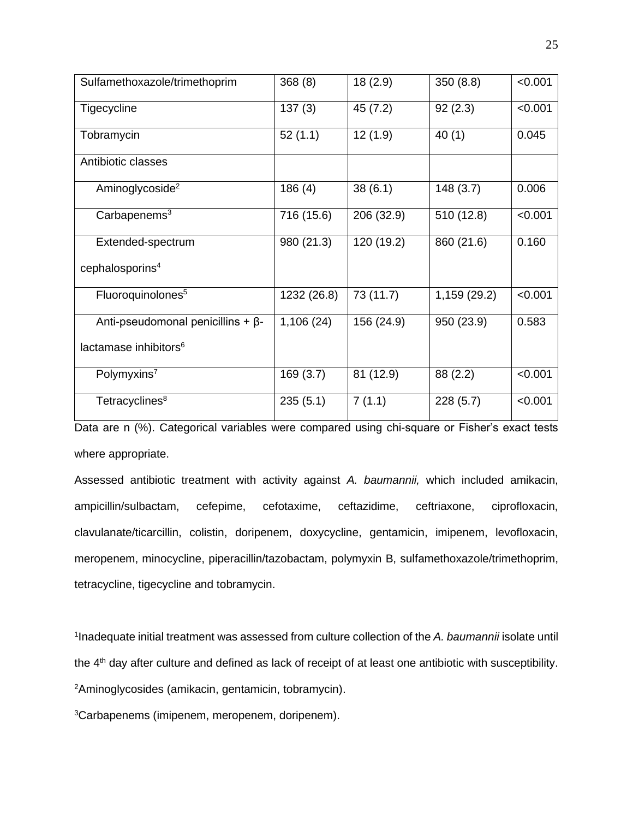| Sulfamethoxazole/trimethoprim            | 368(8)      | 18(2.9)    | 350(8.8)     | < 0.001 |
|------------------------------------------|-------------|------------|--------------|---------|
| Tigecycline                              | 137(3)      | 45 (7.2)   | 92(2.3)      | < 0.001 |
| Tobramycin                               | 52(1.1)     | 12(1.9)    | 40(1)        | 0.045   |
| Antibiotic classes                       |             |            |              |         |
| Aminoglycoside <sup>2</sup>              | 186(4)      | 38(6.1)    | 148(3.7)     | 0.006   |
| Carbapenems <sup>3</sup>                 | 716 (15.6)  | 206 (32.9) | 510 (12.8)   | < 0.001 |
| Extended-spectrum                        | 980 (21.3)  | 120 (19.2) | 860 (21.6)   | 0.160   |
| cephalosporins <sup>4</sup>              |             |            |              |         |
| Fluoroquinolones <sup>5</sup>            | 1232 (26.8) | 73 (11.7)  | 1,159 (29.2) | < 0.001 |
| Anti-pseudomonal penicillins + $\beta$ - | 1,106(24)   | 156 (24.9) | 950 (23.9)   | 0.583   |
| lactamase inhibitors <sup>6</sup>        |             |            |              |         |
| Polymyxins <sup>7</sup>                  | 169(3.7)    | 81 (12.9)  | 88 (2.2)     | < 0.001 |
| Tetracyclines <sup>8</sup>               | 235(5.1)    | 7(1.1)     | 228(5.7)     | < 0.001 |

Data are n (%). Categorical variables were compared using chi-square or Fisher's exact tests where appropriate.

Assessed antibiotic treatment with activity against *A. baumannii,* which included amikacin, ampicillin/sulbactam, cefepime, cefotaxime, ceftazidime, ceftriaxone, ciprofloxacin, clavulanate/ticarcillin, colistin, doripenem, doxycycline, gentamicin, imipenem, levofloxacin, meropenem, minocycline, piperacillin/tazobactam, polymyxin B, sulfamethoxazole/trimethoprim, tetracycline, tigecycline and tobramycin.

1 Inadequate initial treatment was assessed from culture collection of the *A. baumannii* isolate until the 4<sup>th</sup> day after culture and defined as lack of receipt of at least one antibiotic with susceptibility. <sup>2</sup>Aminoglycosides (amikacin, gentamicin, tobramycin).

3Carbapenems (imipenem, meropenem, doripenem).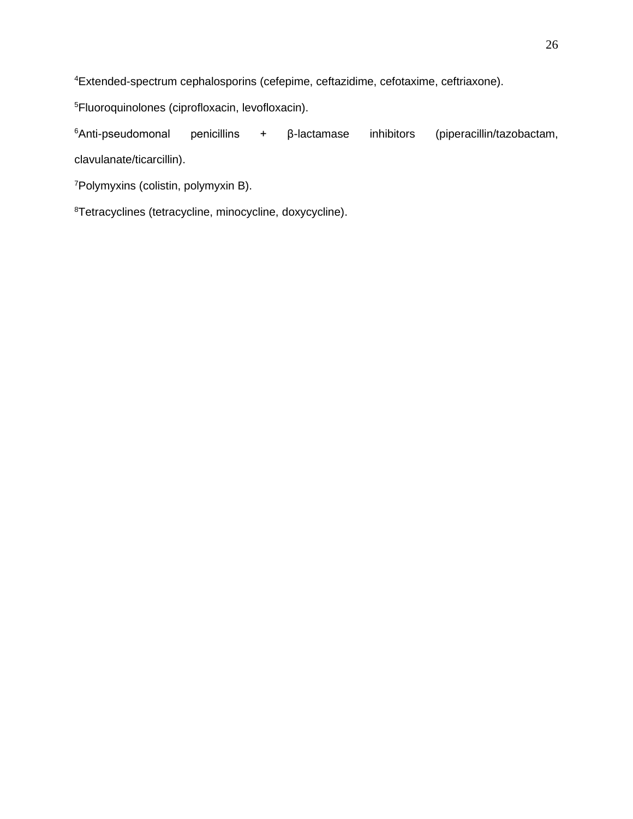Extended-spectrum cephalosporins (cefepime, ceftazidime, cefotaxime, ceftriaxone).

Fluoroquinolones (ciprofloxacin, levofloxacin).

Anti-pseudomonal penicillins + β-lactamase inhibitors (piperacillin/tazobactam, clavulanate/ticarcillin).

Polymyxins (colistin, polymyxin B).

Tetracyclines (tetracycline, minocycline, doxycycline).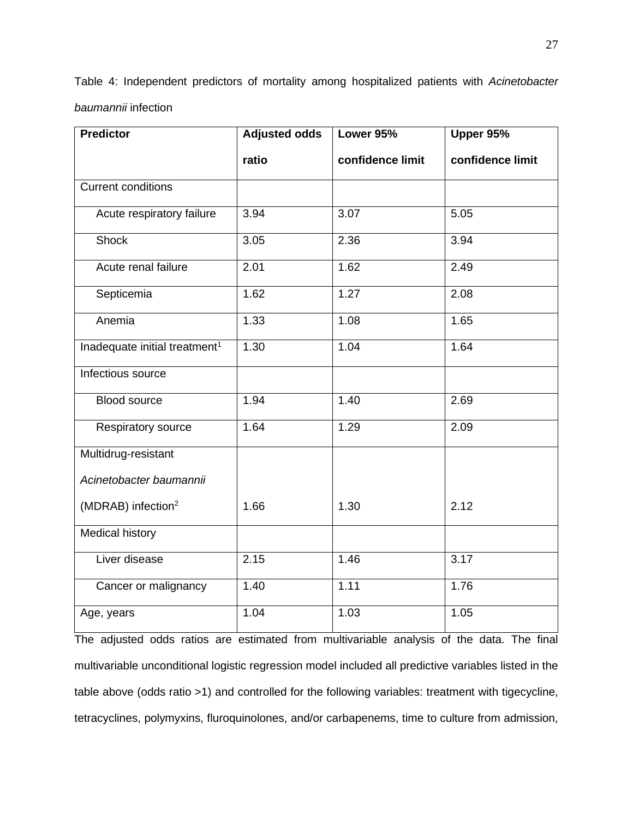Table 4: Independent predictors of mortality among hospitalized patients with *Acinetobacter baumannii* infection

| <b>Predictor</b>                          | <b>Adjusted odds</b> | Lower 95%        | Upper 95%        |
|-------------------------------------------|----------------------|------------------|------------------|
|                                           | ratio                | confidence limit | confidence limit |
| <b>Current conditions</b>                 |                      |                  |                  |
| Acute respiratory failure                 | 3.94                 | 3.07             | 5.05             |
| Shock                                     | 3.05                 | 2.36             | 3.94             |
| Acute renal failure                       | 2.01                 | 1.62             | 2.49             |
| Septicemia                                | 1.62                 | 1.27             | 2.08             |
| Anemia                                    | 1.33                 | 1.08             | 1.65             |
| Inadequate initial treatment <sup>1</sup> | $\overline{1.30}$    | 1.04             | 1.64             |
| Infectious source                         |                      |                  |                  |
| <b>Blood source</b>                       | 1.94                 | 1.40             | 2.69             |
| Respiratory source                        | 1.64                 | 1.29             | 2.09             |
| Multidrug-resistant                       |                      |                  |                  |
| Acinetobacter baumannii                   |                      |                  |                  |
| (MDRAB) infection <sup>2</sup>            | 1.66                 | 1.30             | 2.12             |
| <b>Medical history</b>                    |                      |                  |                  |
| Liver disease                             | 2.15                 | 1.46             | 3.17             |
| Cancer or malignancy                      | 1.40                 | 1.11             | 1.76             |
| Age, years                                | 1.04                 | 1.03             | 1.05             |

The adjusted odds ratios are estimated from multivariable analysis of the data. The final multivariable unconditional logistic regression model included all predictive variables listed in the table above (odds ratio >1) and controlled for the following variables: treatment with tigecycline, tetracyclines, polymyxins, fluroquinolones, and/or carbapenems, time to culture from admission,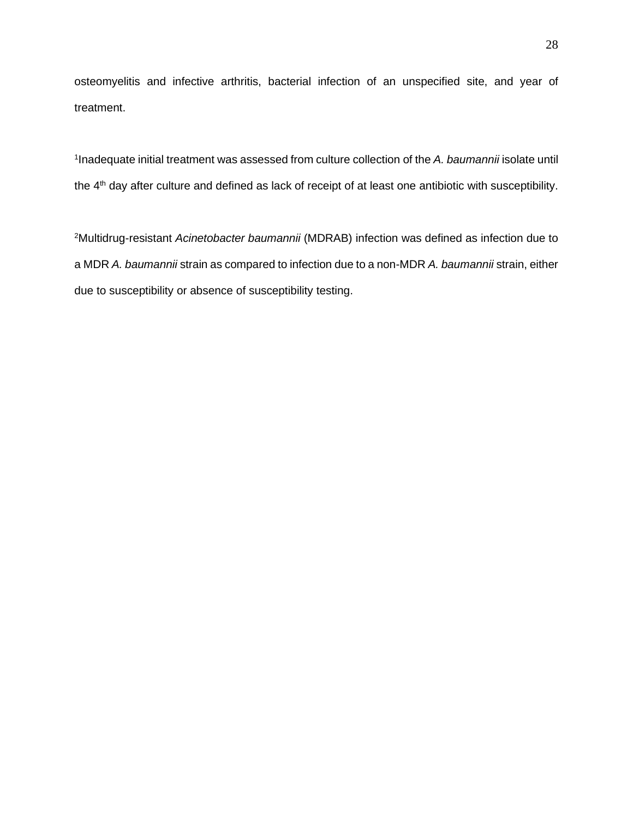osteomyelitis and infective arthritis, bacterial infection of an unspecified site, and year of treatment.

1 Inadequate initial treatment was assessed from culture collection of the *A. baumannii* isolate until the 4<sup>th</sup> day after culture and defined as lack of receipt of at least one antibiotic with susceptibility.

<sup>2</sup>Multidrug-resistant *Acinetobacter baumannii* (MDRAB) infection was defined as infection due to a MDR *A. baumannii* strain as compared to infection due to a non-MDR *A. baumannii* strain, either due to susceptibility or absence of susceptibility testing.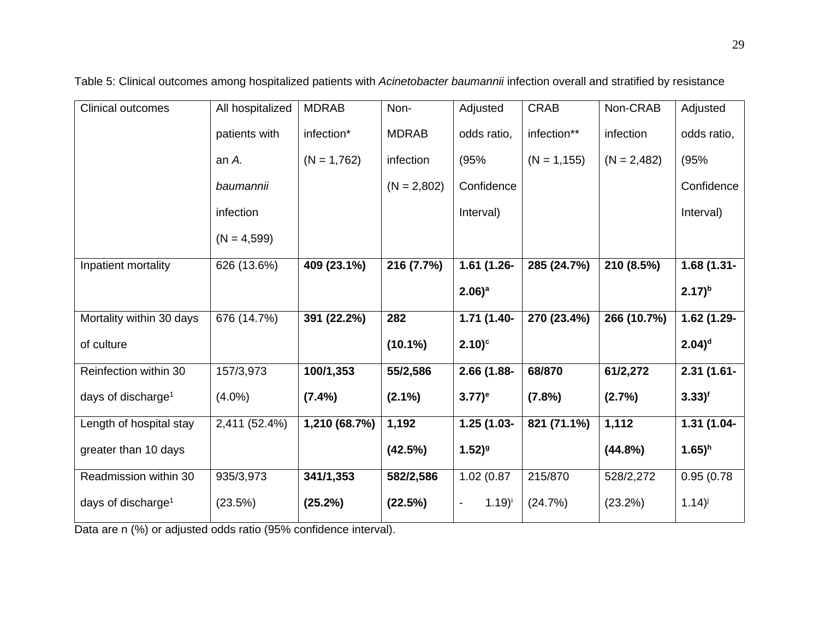| <b>Clinical outcomes</b>       | All hospitalized | <b>MDRAB</b>  | Non-          | Adjusted             | <b>CRAB</b>    | Non-CRAB      | Adjusted             |
|--------------------------------|------------------|---------------|---------------|----------------------|----------------|---------------|----------------------|
|                                | patients with    | infection*    | <b>MDRAB</b>  | odds ratio,          | infection**    | infection     | odds ratio,          |
|                                | an A.            | $(N = 1,762)$ | infection     | (95%                 | $(N = 1, 155)$ | $(N = 2,482)$ | (95%                 |
|                                | baumannii        |               | $(N = 2,802)$ | Confidence           |                |               | Confidence           |
|                                | infection        |               |               | Interval)            |                |               | Interval)            |
|                                | $(N = 4,599)$    |               |               |                      |                |               |                      |
| Inpatient mortality            | 626 (13.6%)      | 409 (23.1%)   | 216 (7.7%)    | 1.61 (1.26-          | 285 (24.7%)    | 210 (8.5%)    | $1.68(1.31 -$        |
|                                |                  |               |               | $2.06)$ <sup>a</sup> |                |               | $(2.17)^{b}$         |
| Mortality within 30 days       | 676 (14.7%)      | 391 (22.2%)   | 282           | 1.71 (1.40-          | 270 (23.4%)    | 266 (10.7%)   | 1.62 (1.29-          |
| of culture                     |                  |               | $(10.1\%)$    | $2.10$ <sup>c</sup>  |                |               | $2.04$ <sup>d</sup>  |
| Reinfection within 30          | 157/3,973        | 100/1,353     | 55/2,586      | 2.66 (1.88-          | 68/870         | 61/2,272      | $2.31(1.61 -$        |
| days of discharge <sup>1</sup> | $(4.0\%)$        | $(7.4\%)$     | $(2.1\%)$     | $(3.77)^e$           | (7.8%)         | (2.7%)        | $3.33$ <sup>f</sup>  |
| Length of hospital stay        | 2,411 (52.4%)    | 1,210 (68.7%) | 1,192         | 1.25 (1.03-          | 821 (71.1%)    | 1,112         | 1.31 (1.04-          |
| greater than 10 days           |                  |               | (42.5%)       | $1.52)$ <sup>g</sup> |                | $(44.8\%)$    | $1.65)$ <sup>h</sup> |
| Readmission within 30          | 935/3,973        | 341/1,353     | 582/2,586     | 1.02(0.87)           | 215/870        | 528/2,272     | 0.95(0.78)           |
| days of discharge <sup>1</sup> | (23.5%)          | (25.2%)       | (22.5%)       | $(1.19)^{i}$         | (24.7%)        | (23.2%)       | $1.14$ <sup>j</sup>  |

Table 5: Clinical outcomes among hospitalized patients with *Acinetobacter baumannii* infection overall and stratified by resistance

Data are n (%) or adjusted odds ratio (95% confidence interval).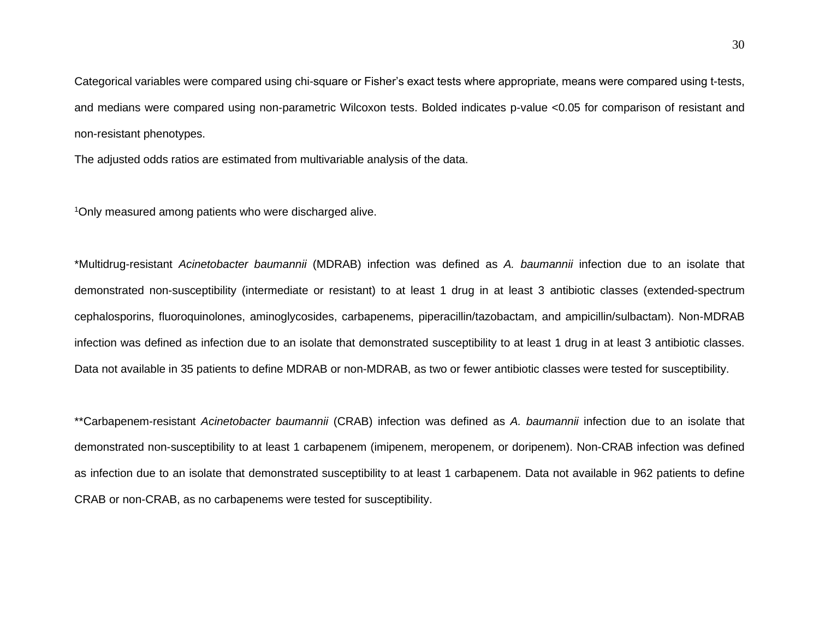Categorical variables were compared using chi-square or Fisher's exact tests where appropriate, means were compared using t-tests, and medians were compared using non-parametric Wilcoxon tests. Bolded indicates p-value <0.05 for comparison of resistant and non-resistant phenotypes.

The adjusted odds ratios are estimated from multivariable analysis of the data.

<sup>1</sup>Only measured among patients who were discharged alive.

\*Multidrug-resistant *Acinetobacter baumannii* (MDRAB) infection was defined as *A. baumannii* infection due to an isolate that demonstrated non-susceptibility (intermediate or resistant) to at least 1 drug in at least 3 antibiotic classes (extended-spectrum cephalosporins, fluoroquinolones, aminoglycosides, carbapenems, piperacillin/tazobactam, and ampicillin/sulbactam). Non-MDRAB infection was defined as infection due to an isolate that demonstrated susceptibility to at least 1 drug in at least 3 antibiotic classes. Data not available in 35 patients to define MDRAB or non-MDRAB, as two or fewer antibiotic classes were tested for susceptibility.

\*\*Carbapenem-resistant *Acinetobacter baumannii* (CRAB) infection was defined as *A. baumannii* infection due to an isolate that demonstrated non-susceptibility to at least 1 carbapenem (imipenem, meropenem, or doripenem). Non-CRAB infection was defined as infection due to an isolate that demonstrated susceptibility to at least 1 carbapenem. Data not available in 962 patients to define CRAB or non-CRAB, as no carbapenems were tested for susceptibility.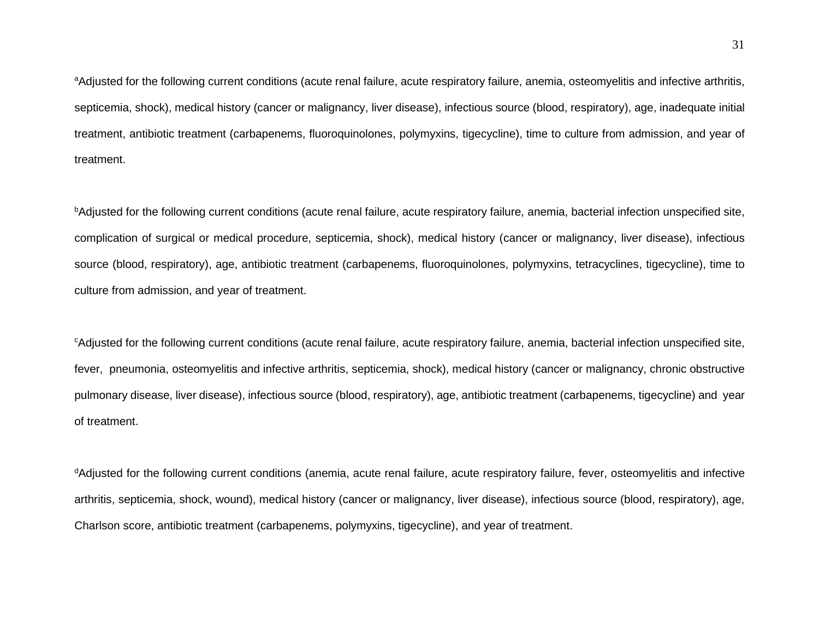<sup>a</sup>Adjusted for the following current conditions (acute renal failure, acute respiratory failure, anemia, osteomyelitis and infective arthritis, septicemia, shock), medical history (cancer or malignancy, liver disease), infectious source (blood, respiratory), age, inadequate initial treatment, antibiotic treatment (carbapenems, fluoroquinolones, polymyxins, tigecycline), time to culture from admission, and year of treatment.

bAdjusted for the following current conditions (acute renal failure, acute respiratory failure, anemia, bacterial infection unspecified site, complication of surgical or medical procedure, septicemia, shock), medical history (cancer or malignancy, liver disease), infectious source (blood, respiratory), age, antibiotic treatment (carbapenems, fluoroquinolones, polymyxins, tetracyclines, tigecycline), time to culture from admission, and year of treatment.

<sup>c</sup>Adjusted for the following current conditions (acute renal failure, acute respiratory failure, anemia, bacterial infection unspecified site, fever, pneumonia, osteomyelitis and infective arthritis, septicemia, shock), medical history (cancer or malignancy, chronic obstructive pulmonary disease, liver disease), infectious source (blood, respiratory), age, antibiotic treatment (carbapenems, tigecycline) and year of treatment.

<sup>d</sup>Adjusted for the following current conditions (anemia, acute renal failure, acute respiratory failure, fever, osteomyelitis and infective arthritis, septicemia, shock, wound), medical history (cancer or malignancy, liver disease), infectious source (blood, respiratory), age, Charlson score, antibiotic treatment (carbapenems, polymyxins, tigecycline), and year of treatment.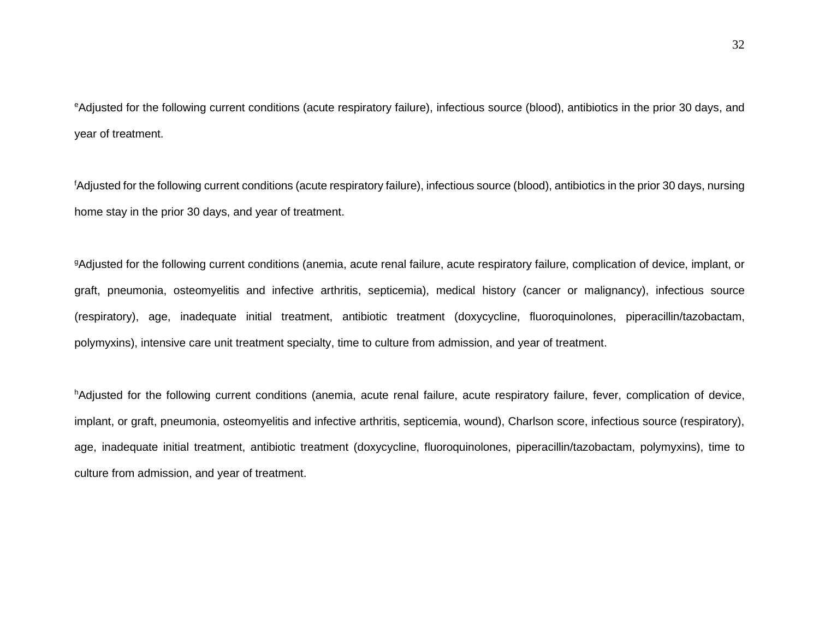<sup>e</sup>Adjusted for the following current conditions (acute respiratory failure), infectious source (blood), antibiotics in the prior 30 days, and year of treatment.

<sup>f</sup>Adjusted for the following current conditions (acute respiratory failure), infectious source (blood), antibiotics in the prior 30 days, nursing home stay in the prior 30 days, and year of treatment.

9Adjusted for the following current conditions (anemia, acute renal failure, acute respiratory failure, complication of device, implant, or graft, pneumonia, osteomyelitis and infective arthritis, septicemia), medical history (cancer or malignancy), infectious source (respiratory), age, inadequate initial treatment, antibiotic treatment (doxycycline, fluoroquinolones, piperacillin/tazobactam, polymyxins), intensive care unit treatment specialty, time to culture from admission, and year of treatment.

hAdjusted for the following current conditions (anemia, acute renal failure, acute respiratory failure, fever, complication of device, implant, or graft, pneumonia, osteomyelitis and infective arthritis, septicemia, wound), Charlson score, infectious source (respiratory), age, inadequate initial treatment, antibiotic treatment (doxycycline, fluoroquinolones, piperacillin/tazobactam, polymyxins), time to culture from admission, and year of treatment.